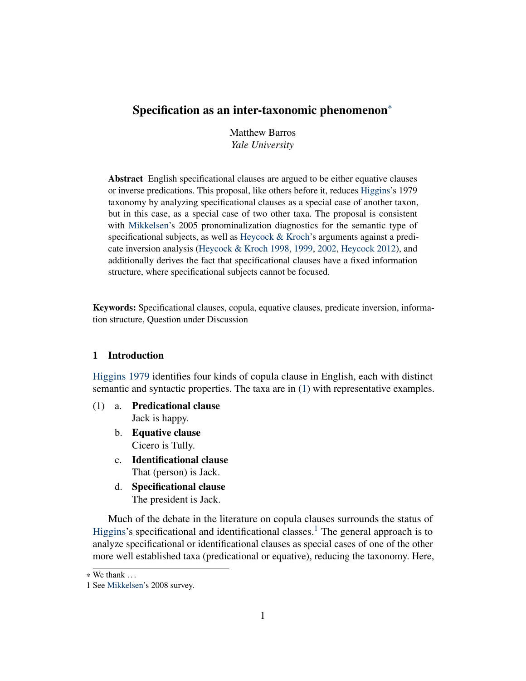Matthew Barros *Yale University*

Abstract English specificational clauses are argued to be either equative clauses or inverse predications. This proposal, like others before it, reduces [Higgins'](#page-41-0)s 1979 taxonomy by analyzing specificational clauses as a special case of another taxon, but in this case, as a special case of two other taxa. The proposal is consistent with [Mikkelsen'](#page-41-1)s 2005 pronominalization diagnostics for the semantic type of specificational subjects, as well as [Heycock & Kroch'](#page-40-0)s arguments against a predicate inversion analysis [\(Heycock & Kroch](#page-40-0) [1998,](#page-40-0) [1999,](#page-41-2) [2002,](#page-41-3) [Heycock](#page-40-1) [2012\)](#page-40-1), and additionally derives the fact that specificational clauses have a fixed information structure, where specificational subjects cannot be focused.

Keywords: Specificational clauses, copula, equative clauses, predicate inversion, information structure, Question under Discussion

### <span id="page-0-0"></span>1 Introduction

[Higgins](#page-41-0) [1979](#page-41-0) identifies four kinds of copula clause in English, each with distinct semantic and syntactic properties. The taxa are in [\(1\)](#page-0-0) with representative examples.

- (1) a. Predicational clause Jack is happy.
	- b. Equative clause Cicero is Tully.
	- c. Identificational clause That (person) is Jack.
	- d. Specificational clause The president is Jack.

Much of the debate in the literature on copula clauses surrounds the status of [Higgins'](#page-41-0)s specificational and identificational classes.<sup>[1](#page-0-1)</sup> The general approach is to analyze specificational or identificational clauses as special cases of one of the other more well established taxa (predicational or equative), reducing the taxonomy. Here,

 $*$  We thank  $\ldots$ 

<span id="page-0-1"></span><sup>1</sup> See [Mikkelsen'](#page-41-4)s 2008 survey.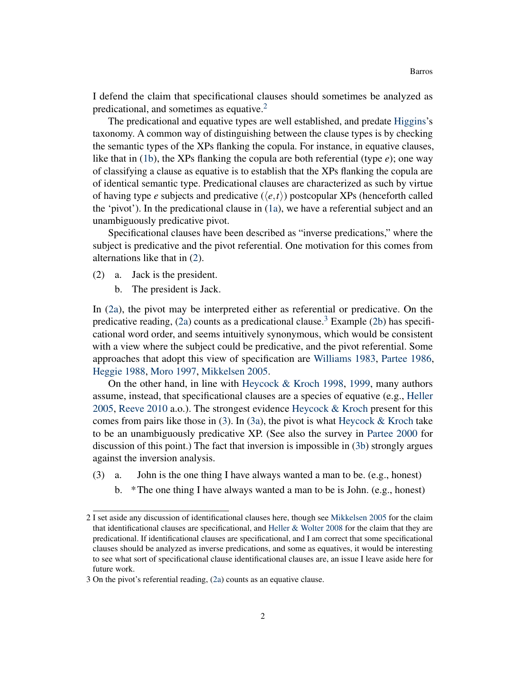I defend the claim that specificational clauses should sometimes be analyzed as predicational, and sometimes as equative.<sup>[2](#page-1-0)</sup>

The predicational and equative types are well established, and predate [Higgins'](#page-41-0)s taxonomy. A common way of distinguishing between the clause types is by checking the semantic types of the XPs flanking the copula. For instance, in equative clauses, like that in [\(1b\)](#page-0-0), the XPs flanking the copula are both referential (type *e*); one way of classifying a clause as equative is to establish that the XPs flanking the copula are of identical semantic type. Predicational clauses are characterized as such by virtue of having type *e* subjects and predicative  $(\langle e, t \rangle)$  postcopular XPs (henceforth called the 'pivot'). In the predicational clause in [\(1a\)](#page-0-0), we have a referential subject and an unambiguously predicative pivot.

Specificational clauses have been described as "inverse predications," where the subject is predicative and the pivot referential. One motivation for this comes from alternations like that in [\(2\)](#page-0-0).

- (2) a. Jack is the president.
	- b. The president is Jack.

In [\(2a\)](#page-0-0), the pivot may be interpreted either as referential or predicative. On the predicative reading, [\(2a\)](#page-0-0) counts as a predicational clause.<sup>[3](#page-1-1)</sup> Example [\(2b\)](#page-0-0) has specificational word order, and seems intuitively synonymous, which would be consistent with a view where the subject could be predicative, and the pivot referential. Some approaches that adopt this view of specification are [Williams](#page-42-0) [1983,](#page-42-0) [Partee](#page-41-5) [1986,](#page-41-5) [Heggie](#page-40-2) [1988,](#page-40-2) [Moro](#page-41-6) [1997,](#page-41-6) [Mikkelsen](#page-41-1) [2005.](#page-41-1)

On the other hand, in line with [Heycock & Kroch](#page-40-0) [1998,](#page-40-0) [1999,](#page-41-2) many authors assume, instead, that specificational clauses are a species of equative (e.g., [Heller](#page-40-3) [2005,](#page-40-3) [Reeve](#page-41-7) [2010](#page-41-7) a.o.). The strongest evidence [Heycock & Kroch](#page-40-0) present for this comes from pairs like those in  $(3)$ . In  $(3a)$ , the pivot is what [Heycock & Kroch](#page-40-0) take to be an unambiguously predicative XP. (See also the survey in [Partee](#page-41-8) [2000](#page-41-8) for discussion of this point.) The fact that inversion is impossible in [\(3b\)](#page-0-0) strongly argues against the inversion analysis.

- (3) a. John is the one thing I have always wanted a man to be. (e.g., honest)
	- b. \*The one thing I have always wanted a man to be is John. (e.g., honest)

<span id="page-1-0"></span><sup>2</sup> I set aside any discussion of identificational clauses here, though see [Mikkelsen](#page-41-1) [2005](#page-41-1) for the claim that identificational clauses are specificational, and [Heller & Wolter](#page-40-4) [2008](#page-40-4) for the claim that they are predicational. If identificational clauses are specificational, and I am correct that some specificational clauses should be analyzed as inverse predications, and some as equatives, it would be interesting to see what sort of specificational clause identificational clauses are, an issue I leave aside here for future work.

<span id="page-1-1"></span><sup>3</sup> On the pivot's referential reading, [\(2a\)](#page-0-0) counts as an equative clause.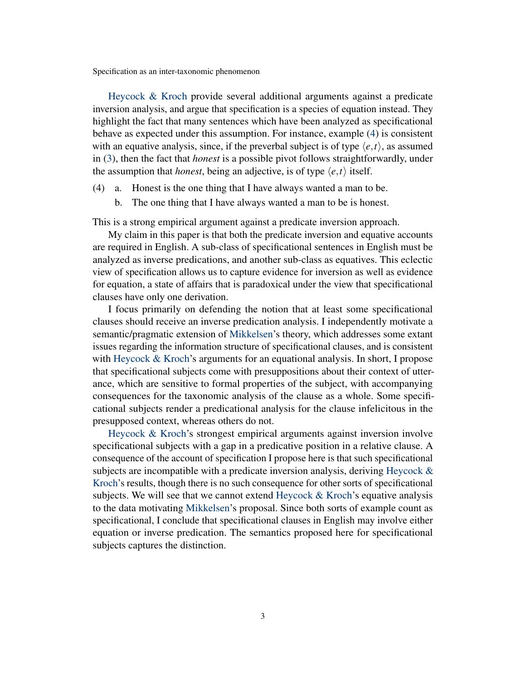[Heycock & Kroch](#page-40-0) provide several additional arguments against a predicate inversion analysis, and argue that specification is a species of equation instead. They highlight the fact that many sentences which have been analyzed as specificational behave as expected under this assumption. For instance, example [\(4\)](#page-0-0) is consistent with an equative analysis, since, if the preverbal subject is of type  $\langle e, t \rangle$ , as assumed in [\(3\)](#page-0-0), then the fact that *honest* is a possible pivot follows straightforwardly, under the assumption that *honest*, being an adjective, is of type  $\langle e, t \rangle$  itself.

- (4) a. Honest is the one thing that I have always wanted a man to be.
	- b. The one thing that I have always wanted a man to be is honest.

This is a strong empirical argument against a predicate inversion approach.

My claim in this paper is that both the predicate inversion and equative accounts are required in English. A sub-class of specificational sentences in English must be analyzed as inverse predications, and another sub-class as equatives. This eclectic view of specification allows us to capture evidence for inversion as well as evidence for equation, a state of affairs that is paradoxical under the view that specificational clauses have only one derivation.

I focus primarily on defending the notion that at least some specificational clauses should receive an inverse predication analysis. I independently motivate a semantic/pragmatic extension of [Mikkelsen'](#page-41-1)s theory, which addresses some extant issues regarding the information structure of specificational clauses, and is consistent with [Heycock & Kroch'](#page-41-2)s arguments for an equational analysis. In short, I propose that specificational subjects come with presuppositions about their context of utterance, which are sensitive to formal properties of the subject, with accompanying consequences for the taxonomic analysis of the clause as a whole. Some specificational subjects render a predicational analysis for the clause infelicitous in the presupposed context, whereas others do not.

[Heycock & Kroch'](#page-40-0)s strongest empirical arguments against inversion involve specificational subjects with a gap in a predicative position in a relative clause. A consequence of the account of specification I propose here is that such specificational subjects are incompatible with a predicate inversion analysis, deriving [Heycock &](#page-40-0) [Kroch'](#page-40-0)s results, though there is no such consequence for other sorts of specificational subjects. We will see that we cannot extend [Heycock & Kroch'](#page-40-0)s equative analysis to the data motivating [Mikkelsen'](#page-41-1)s proposal. Since both sorts of example count as specificational, I conclude that specificational clauses in English may involve either equation or inverse predication. The semantics proposed here for specificational subjects captures the distinction.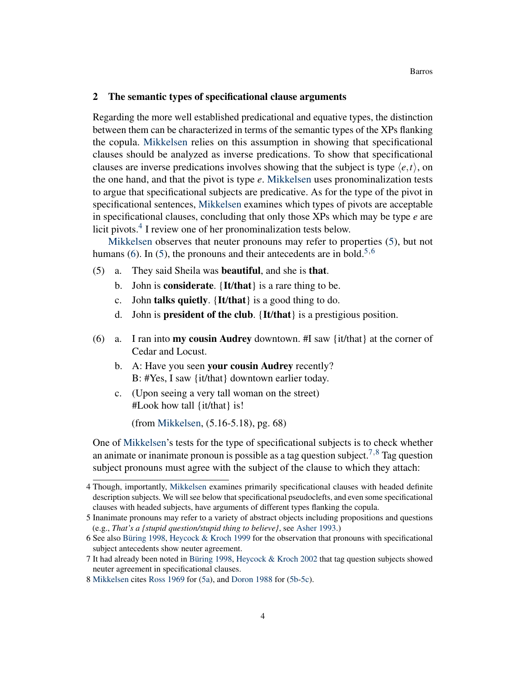### <span id="page-3-1"></span>2 The semantic types of specificational clause arguments

Regarding the more well established predicational and equative types, the distinction between them can be characterized in terms of the semantic types of the XPs flanking the copula. [Mikkelsen](#page-41-1) relies on this assumption in showing that specificational clauses should be analyzed as inverse predications. To show that specificational clauses are inverse predications involves showing that the subject is type  $\langle e, t \rangle$ , on the one hand, and that the pivot is type *e*. [Mikkelsen](#page-41-1) uses pronominalization tests to argue that specificational subjects are predicative. As for the type of the pivot in specificational sentences, [Mikkelsen](#page-41-1) examines which types of pivots are acceptable in specificational clauses, concluding that only those XPs which may be type *e* are licit pivots.<sup>[4](#page-3-0)</sup> I review one of her pronominalization tests below.

[Mikkelsen](#page-41-1) observes that neuter pronouns may refer to properties [\(5\)](#page-3-1), but not humans [\(6\)](#page-3-1). In [\(5\)](#page-3-1), the pronouns and their antecedents are in bold.<sup>[5](#page-3-2),[6](#page-3-3)</sup>

- (5) a. They said Sheila was beautiful, and she is that.
	- b. John is **considerate**. {It/that} is a rare thing to be.
	- c. John talks quietly. {It/that} is a good thing to do.
	- d. John is president of the club. {It/that} is a prestigious position.
- (6) a. I ran into **my cousin Audrey** downtown. #I saw  $\{it/that\}$  at the corner of Cedar and Locust.
	- b. A: Have you seen your cousin Audrey recently? B: #Yes, I saw {it/that} downtown earlier today.
	- c. (Upon seeing a very tall woman on the street) #Look how tall {it/that} is!

(from [Mikkelsen,](#page-41-1) (5.16-5.18), pg. 68)

One of [Mikkelsen'](#page-41-1)s tests for the type of specificational subjects is to check whether an animate or inanimate pronoun is possible as a tag question subject.<sup>[7](#page-3-4),[8](#page-3-5)</sup> Tag question subject pronouns must agree with the subject of the clause to which they attach:

<span id="page-3-0"></span><sup>4</sup> Though, importantly, [Mikkelsen](#page-41-1) examines primarily specificational clauses with headed definite description subjects. We will see below that specificational pseudoclefts, and even some specificational clauses with headed subjects, have arguments of different types flanking the copula.

<span id="page-3-2"></span><sup>5</sup> Inanimate pronouns may refer to a variety of abstract objects including propositions and questions (e.g., *That's a {stupid question/stupid thing to believe}*, see [Asher](#page-39-0) [1993.](#page-39-0))

<span id="page-3-3"></span><sup>6</sup> See also [Büring](#page-39-1) [1998,](#page-39-1) [Heycock & Kroch](#page-41-2) [1999](#page-41-2) for the observation that pronouns with specificational subject antecedents show neuter agreement.

<span id="page-3-4"></span><sup>7</sup> It had already been noted in [Büring](#page-39-1) [1998,](#page-39-1) [Heycock & Kroch](#page-41-3) [2002](#page-41-3) that tag question subjects showed neuter agreement in specificational clauses.

<span id="page-3-5"></span><sup>8</sup> [Mikkelsen](#page-41-1) cites [Ross](#page-42-1) [1969](#page-42-1) for [\(5a\)](#page-3-1), and [Doron](#page-40-5) [1988](#page-40-5) for [\(5b-5c\)](#page-3-1).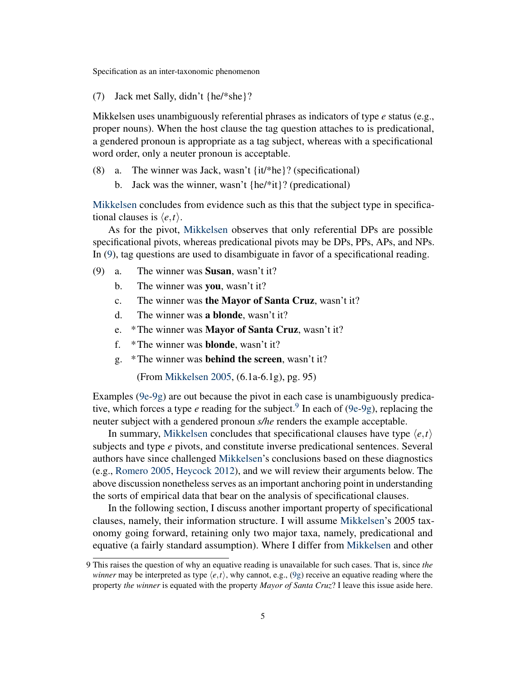(7) Jack met Sally, didn't {he/\*she}?

Mikkelsen uses unambiguously referential phrases as indicators of type *e* status (e.g., proper nouns). When the host clause the tag question attaches to is predicational, a gendered pronoun is appropriate as a tag subject, whereas with a specificational word order, only a neuter pronoun is acceptable.

- (8) a. The winner was Jack, wasn't {it/\*he}? (specificational)
	- b. Jack was the winner, wasn't {he/\*it}? (predicational)

[Mikkelsen](#page-41-1) concludes from evidence such as this that the subject type in specificational clauses is  $\langle e, t \rangle$ .

As for the pivot, [Mikkelsen](#page-41-1) observes that only referential DPs are possible specificational pivots, whereas predicational pivots may be DPs, PPs, APs, and NPs. In [\(9\)](#page-3-1), tag questions are used to disambiguate in favor of a specificational reading.

- (9) a. The winner was Susan, wasn't it?
	- b. The winner was **you**, wasn't it?
	- c. The winner was the Mayor of Santa Cruz, wasn't it?
	- d. The winner was a blonde, wasn't it?
	- e. \*The winner was Mayor of Santa Cruz, wasn't it?
	- f. \*The winner was blonde, wasn't it?
	- g. \*The winner was behind the screen, wasn't it?

(From [Mikkelsen](#page-41-1) [2005,](#page-41-1) (6.1a-6.1g), pg. 95)

Examples  $(9e-9g)$  are out because the pivot in each case is unambiguously predicative, which forces a type *e* reading for the subject.<sup>[9](#page-4-0)</sup> In each of [\(9e-9g\)](#page-3-1), replacing the neuter subject with a gendered pronoun *s/he* renders the example acceptable.

In summary, [Mikkelsen](#page-41-1) concludes that specificational clauses have type  $\langle e, t \rangle$ subjects and type *e* pivots, and constitute inverse predicational sentences. Several authors have since challenged [Mikkelsen'](#page-41-1)s conclusions based on these diagnostics (e.g., [Romero](#page-41-9) [2005,](#page-41-9) [Heycock](#page-40-1) [2012\)](#page-40-1), and we will review their arguments below. The above discussion nonetheless serves as an important anchoring point in understanding the sorts of empirical data that bear on the analysis of specificational clauses.

In the following section, I discuss another important property of specificational clauses, namely, their information structure. I will assume [Mikkelsen'](#page-41-1)s 2005 taxonomy going forward, retaining only two major taxa, namely, predicational and equative (a fairly standard assumption). Where I differ from [Mikkelsen](#page-41-1) and other

<span id="page-4-0"></span><sup>9</sup> This raises the question of why an equative reading is unavailable for such cases. That is, since *the winner* may be interpreted as type  $\langle e, t \rangle$ , why cannot, e.g., [\(9g\)](#page-3-1) receive an equative reading where the property *the winner* is equated with the property *Mayor of Santa Cruz*? I leave this issue aside here.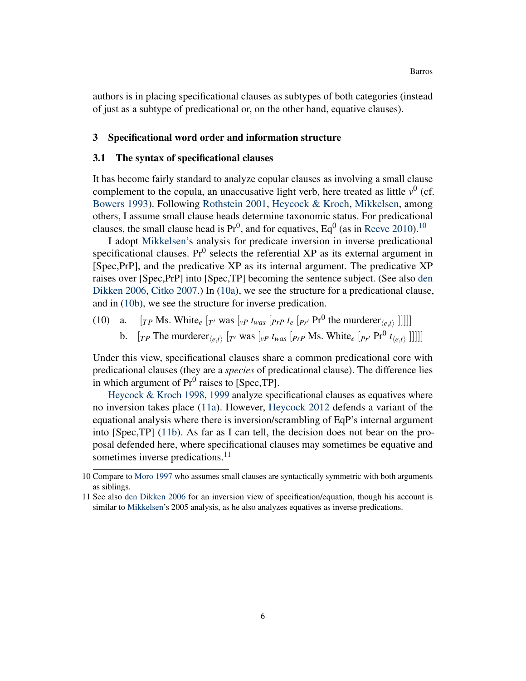authors is in placing specificational clauses as subtypes of both categories (instead of just as a subtype of predicational or, on the other hand, equative clauses).

### 3 Specificational word order and information structure

#### <span id="page-5-1"></span>3.1 The syntax of specificational clauses

It has become fairly standard to analyze copular clauses as involving a small clause complement to the copula, an unaccusative light verb, here treated as little  $v^0$  (cf. [Bowers](#page-39-2) [1993\)](#page-39-2). Following [Rothstein](#page-42-2) [2001,](#page-42-2) [Heycock & Kroch,](#page-40-0) [Mikkelsen,](#page-41-1) among others, I assume small clause heads determine taxonomic status. For predicational clauses, the small clause head is  $Pr^0$ , and for equatives,  $Eq^0$  (as in [Reeve](#page-41-7) [2010\)](#page-41-7).<sup>[10](#page-5-0)</sup>

I adopt [Mikkelsen'](#page-41-1)s analysis for predicate inversion in inverse predicational specificational clauses. Pr $<sup>0</sup>$  selects the referential XP as its external argument in</sup> [Spec,PrP], and the predicative XP as its internal argument. The predicative XP raises over [Spec,PrP] into [Spec,TP] becoming the sentence subject. (See also [den](#page-40-6) [Dikken](#page-40-6) [2006,](#page-40-6) [Citko](#page-40-7) [2007.](#page-40-7)) In [\(10a\)](#page-5-1), we see the structure for a predicational clause, and in [\(10b\)](#page-5-1), we see the structure for inverse predication.

(10) a.  $[r_P \text{Ms. White}_{e} [r \text{ was } [v_P \text{ t}_{was} [p_{rP} \text{ t}_{e} [p_{r} \text{ P} \text{r}^0 \text{ the murderer}_{\langle e,t \rangle}]]]]]$ b.  $[r_P \text{ The murderer}_{\langle e,t \rangle} [r \text{ was } [v_P \text{ t}_{was} [p_{rP} \text{ Ms. White}_{e} [p_{r} \text{ Pr}^0 \text{ t}_{\langle e,t \rangle}]]]]]$ 

Under this view, specificational clauses share a common predicational core with predicational clauses (they are a *species* of predicational clause). The difference lies in which argument of  $Pr^0$  raises to [Spec,TP].

[Heycock & Kroch](#page-40-0) [1998,](#page-40-0) [1999](#page-41-2) analyze specificational clauses as equatives where no inversion takes place [\(11a\)](#page-5-1). However, [Heycock](#page-40-1) [2012](#page-40-1) defends a variant of the equational analysis where there is inversion/scrambling of EqP's internal argument into [Spec,TP] [\(11b\)](#page-5-1). As far as I can tell, the decision does not bear on the proposal defended here, where specificational clauses may sometimes be equative and sometimes inverse predications.<sup>[11](#page-5-2)</sup>

<span id="page-5-0"></span><sup>10</sup> Compare to [Moro](#page-41-6) [1997](#page-41-6) who assumes small clauses are syntactically symmetric with both arguments as siblings.

<span id="page-5-2"></span><sup>11</sup> See also [den Dikken](#page-40-6) [2006](#page-40-6) for an inversion view of specification/equation, though his account is similar to [Mikkelsen'](#page-41-1)s 2005 analysis, as he also analyzes equatives as inverse predications.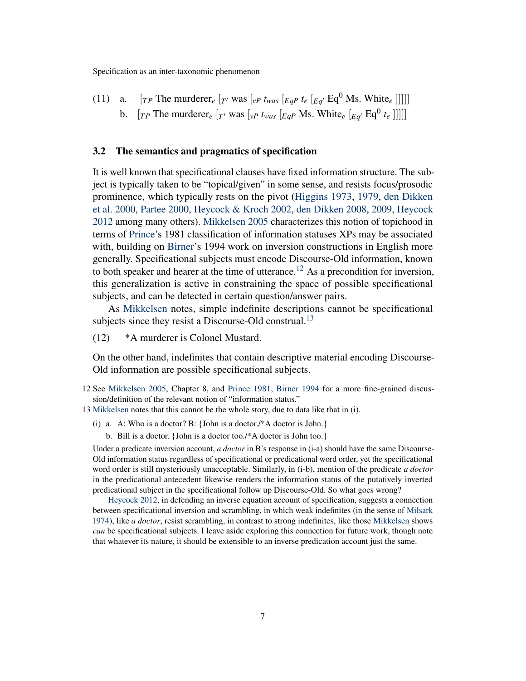(11) a. 
$$
[rp \text{ The murderer}_e [r \text{ was } [v \text{ is } t_{\text{was}}] [Eq \text{ is } t_e [Eq \text{ is } t_e] \text{ [Eq}^0 \text{ Ms. White}_e]]]]]
$$
 b.  $[rp \text{ The murderer}_e [r \text{ was } [v \text{ is } t_{\text{was}}] [Eq \text{ is } t_e \text{] } [Eq \text{ is } t_e [Eq \text{ is } t_e]]]]]$ 

### <span id="page-6-2"></span>3.2 The semantics and pragmatics of specification

It is well known that specificational clauses have fixed information structure. The subject is typically taken to be "topical/given" in some sense, and resists focus/prosodic prominence, which typically rests on the pivot [\(Higgins](#page-41-10) [1973,](#page-41-10) [1979,](#page-41-0) [den Dikken](#page-40-8) [et al.](#page-40-8) [2000,](#page-40-8) [Partee](#page-41-8) [2000,](#page-41-8) [Heycock & Kroch](#page-41-3) [2002,](#page-41-3) [den Dikken](#page-40-9) [2008,](#page-40-9) [2009,](#page-40-10) [Heycock](#page-40-1) [2012](#page-40-1) among many others). [Mikkelsen](#page-41-1) [2005](#page-41-1) characterizes this notion of topichood in terms of [Prince'](#page-41-11)s 1981 classification of information statuses XPs may be associated with, building on [Birner'](#page-39-3)s 1994 work on inversion constructions in English more generally. Specificational subjects must encode Discourse-Old information, known to both speaker and hearer at the time of utterance.<sup>[12](#page-6-0)</sup> As a precondition for inversion, this generalization is active in constraining the space of possible specificational subjects, and can be detected in certain question/answer pairs.

As [Mikkelsen](#page-41-1) notes, simple indefinite descriptions cannot be specificational subjects since they resist a Discourse-Old construal.<sup>[13](#page-6-1)</sup>

(12) \*A murderer is Colonel Mustard.

On the other hand, indefinites that contain descriptive material encoding Discourse-Old information are possible specificational subjects.

b. Bill is a doctor. {John is a doctor too./\*A doctor is John too.}

Under a predicate inversion account, *a doctor* in B's response in (i-a) should have the same Discourse-Old information status regardless of specificational or predicational word order, yet the specificational word order is still mysteriously unacceptable. Similarly, in (i-b), mention of the predicate *a doctor* in the predicational antecedent likewise renders the information status of the putatively inverted predicational subject in the specificational follow up Discourse-Old. So what goes wrong?

[Heycock](#page-40-1) [2012,](#page-40-1) in defending an inverse equation account of specification, suggests a connection between specificational inversion and scrambling, in which weak indefinites (in the sense of [Milsark](#page-41-12) [1974\)](#page-41-12), like *a doctor*, resist scrambling, in contrast to strong indefinites, like those [Mikkelsen](#page-41-1) shows *can* be specificational subjects. I leave aside exploring this connection for future work, though note that whatever its nature, it should be extensible to an inverse predication account just the same.

<span id="page-6-0"></span><sup>12</sup> See [Mikkelsen](#page-41-1) [2005,](#page-41-1) Chapter 8, and [Prince](#page-41-11) [1981,](#page-41-11) [Birner](#page-39-3) [1994](#page-39-3) for a more fine-grained discussion/definition of the relevant notion of "information status."

<span id="page-6-1"></span><sup>13</sup> [Mikkelsen](#page-41-1) notes that this cannot be the whole story, due to data like that in (i).

<sup>(</sup>i) a. A: Who is a doctor? B: {John is a doctor./\*A doctor is John.}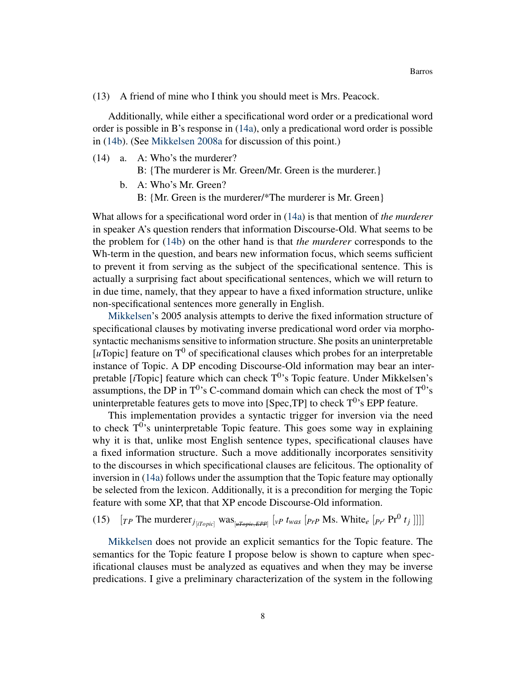(13) A friend of mine who I think you should meet is Mrs. Peacock.

Additionally, while either a specificational word order or a predicational word order is possible in B's response in [\(14a\)](#page-6-2), only a predicational word order is possible in [\(14b\)](#page-6-2). (See [Mikkelsen](#page-41-4) [2008a](#page-41-4) for discussion of this point.)

(14) a. A: Who's the murderer?

B: {The murderer is Mr. Green/Mr. Green is the murderer.}

- b. A: Who's Mr. Green?
	- B: {Mr. Green is the murderer/\*The murderer is Mr. Green}

What allows for a specificational word order in [\(14a\)](#page-6-2) is that mention of *the murderer* in speaker A's question renders that information Discourse-Old. What seems to be the problem for [\(14b\)](#page-6-2) on the other hand is that *the murderer* corresponds to the Wh-term in the question, and bears new information focus, which seems sufficient to prevent it from serving as the subject of the specificational sentence. This is actually a surprising fact about specificational sentences, which we will return to in due time, namely, that they appear to have a fixed information structure, unlike non-specificational sentences more generally in English.

[Mikkelsen'](#page-41-1)s 2005 analysis attempts to derive the fixed information structure of specificational clauses by motivating inverse predicational word order via morphosyntactic mechanisms sensitive to information structure. She posits an uninterpretable [ $u$ Topic] feature on  $T^0$  of specificational clauses which probes for an interpretable instance of Topic. A DP encoding Discourse-Old information may bear an interpretable [*i*Topic] feature which can check T<sup>0</sup>'s Topic feature. Under Mikkelsen's assumptions, the DP in  $T^{0}$ 's C-command domain which can check the most of  $T^{0}$ 's uninterpretable features gets to move into [Spec,TP] to check  $T^0$ 's EPP feature.

This implementation provides a syntactic trigger for inversion via the need to check  $T^{0}$ 's uninterpretable Topic feature. This goes some way in explaining why it is that, unlike most English sentence types, specificational clauses have a fixed information structure. Such a move additionally incorporates sensitivity to the discourses in which specificational clauses are felicitous. The optionality of inversion in [\(14a\)](#page-6-2) follows under the assumption that the Topic feature may optionally be selected from the lexicon. Additionally, it is a precondition for merging the Topic feature with some XP, that that XP encode Discourse-Old information.

(15)  $[r \text{P} \text{ The murderer}_{j_{\text{[iTopic]}} \text{ was } \frac{r}{[up \text{p} \cdot \text{p} \cdot \text{p} \cdot \text{p}]} \cdot (v \text{p} \cdot \text{t}_{\text{was}} \cdot (p \text{p} \cdot \text{p} \cdot \text{Ms} \cdot \text{White}_{e} \cdot (p \text{p} \cdot \text{p} \cdot \text{p} \cdot \text{p} \cdot \text{p} \cdot \text{m} \cdot \text{m} \cdot \text{m} \cdot \text{m} \cdot \text{m} \cdot \text{m} \cdot \text{m} \cdot \text{m} \cdot \text{m$ 

[Mikkelsen](#page-41-1) does not provide an explicit semantics for the Topic feature. The semantics for the Topic feature I propose below is shown to capture when specificational clauses must be analyzed as equatives and when they may be inverse predications. I give a preliminary characterization of the system in the following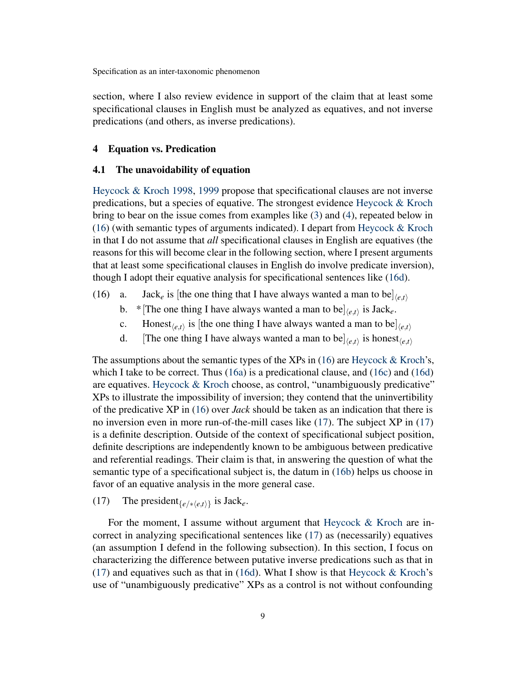section, where I also review evidence in support of the claim that at least some specificational clauses in English must be analyzed as equatives, and not inverse predications (and others, as inverse predications).

# 4 Equation vs. Predication

### <span id="page-8-0"></span>4.1 The unavoidability of equation

[Heycock & Kroch](#page-40-0) [1998,](#page-40-0) [1999](#page-41-2) propose that specificational clauses are not inverse predications, but a species of equative. The strongest evidence [Heycock & Kroch](#page-40-0) bring to bear on the issue comes from examples like [\(3\)](#page-0-0) and [\(4\)](#page-0-0), repeated below in [\(16\)](#page-8-0) (with semantic types of arguments indicated). I depart from [Heycock & Kroch](#page-40-0) in that I do not assume that *all* specificational clauses in English are equatives (the reasons for this will become clear in the following section, where I present arguments that at least some specificational clauses in English do involve predicate inversion), though I adopt their equative analysis for specificational sentences like [\(16d\)](#page-8-0).

- (16) a. Jack<sub>e</sub> is [the one thing that I have always wanted a man to be] $\langle e,t \rangle$ 
	- b. \* [The one thing I have always wanted a man to be] $\langle e, t \rangle$  is Jack<sub>*e*</sub>.
	- c. Honest<sub> $\langle e,t \rangle$ </sub> is [the one thing I have always wanted a man to be] $\langle e,t \rangle$
	- d. [The one thing I have always wanted a man to be $\vert_{\langle e,t \rangle}$  is honest $\vert_{\langle e,t \rangle}$

The assumptions about the semantic types of the XPs in  $(16)$  are [Heycock & Kroch'](#page-40-0)s, which I take to be correct. Thus [\(16a\)](#page-8-0) is a predicational clause, and [\(16c\)](#page-8-0) and [\(16d\)](#page-8-0) are equatives. [Heycock & Kroch](#page-40-0) choose, as control, "unambiguously predicative" XPs to illustrate the impossibility of inversion; they contend that the uninvertibility of the predicative XP in [\(16\)](#page-8-0) over *Jack* should be taken as an indication that there is no inversion even in more run-of-the-mill cases like [\(17\)](#page-8-0). The subject XP in [\(17\)](#page-8-0) is a definite description. Outside of the context of specificational subject position, definite descriptions are independently known to be ambiguous between predicative and referential readings. Their claim is that, in answering the question of what the semantic type of a specificational subject is, the datum in [\(16b\)](#page-8-0) helps us choose in favor of an equative analysis in the more general case.

(17) The president<sub>{ $e/\ast$ </sub> $(e,t)$ } is Jack<sub>*e*</sub>.

For the moment, I assume without argument that [Heycock & Kroch](#page-40-0) are incorrect in analyzing specificational sentences like [\(17\)](#page-8-0) as (necessarily) equatives (an assumption I defend in the following subsection). In this section, I focus on characterizing the difference between putative inverse predications such as that in  $(17)$  and equatives such as that in [\(16d\)](#page-8-0). What I show is that [Heycock & Kroch'](#page-40-0)s use of "unambiguously predicative" XPs as a control is not without confounding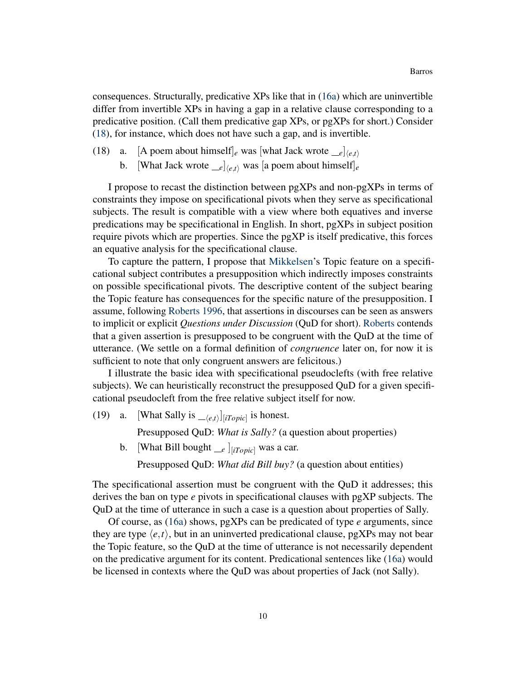consequences. Structurally, predicative XPs like that in [\(16a\)](#page-8-0) which are uninvertible differ from invertible XPs in having a gap in a relative clause corresponding to a predicative position. (Call them predicative gap XPs, or pgXPs for short.) Consider [\(18\)](#page-8-0), for instance, which does not have such a gap, and is invertible.

- (18) a. [A poem about himself]<sub>e</sub> was [what Jack wrote  $\begin{bmatrix} e \\ e \end{bmatrix}$ 
	- b. [What Jack wrote  $e^{-e}|_{\langle e,t\rangle}$  was [a poem about himself]<sub>e</sub>

I propose to recast the distinction between pgXPs and non-pgXPs in terms of constraints they impose on specificational pivots when they serve as specificational subjects. The result is compatible with a view where both equatives and inverse predications may be specificational in English. In short, pgXPs in subject position require pivots which are properties. Since the pgXP is itself predicative, this forces an equative analysis for the specificational clause.

To capture the pattern, I propose that [Mikkelsen'](#page-41-1)s Topic feature on a specificational subject contributes a presupposition which indirectly imposes constraints on possible specificational pivots. The descriptive content of the subject bearing the Topic feature has consequences for the specific nature of the presupposition. I assume, following [Roberts](#page-41-13) [1996,](#page-41-13) that assertions in discourses can be seen as answers to implicit or explicit *Questions under Discussion* (QuD for short). [Roberts](#page-41-13) contends that a given assertion is presupposed to be congruent with the QuD at the time of utterance. (We settle on a formal definition of *congruence* later on, for now it is sufficient to note that only congruent answers are felicitous.)

I illustrate the basic idea with specificational pseudoclefts (with free relative subjects). We can heuristically reconstruct the presupposed QuD for a given specificational pseudocleft from the free relative subject itself for now.

(19) a. [What Sally is  $\begin{bmatrix} -\langle e,t \rangle \end{bmatrix}$  *[iTopic*] is honest.

Presupposed QuD: *What is Sally?* (a question about properties)

b. [What Bill bought *e*  $]_{[iTopic]}$  was a car.

Presupposed QuD: *What did Bill buy?* (a question about entities)

The specificational assertion must be congruent with the QuD it addresses; this derives the ban on type *e* pivots in specificational clauses with pgXP subjects. The QuD at the time of utterance in such a case is a question about properties of Sally.

Of course, as [\(16a\)](#page-8-0) shows, pgXPs can be predicated of type *e* arguments, since they are type  $\langle e, t \rangle$ , but in an uninverted predicational clause, pgXPs may not bear the Topic feature, so the QuD at the time of utterance is not necessarily dependent on the predicative argument for its content. Predicational sentences like [\(16a\)](#page-8-0) would be licensed in contexts where the QuD was about properties of Jack (not Sally).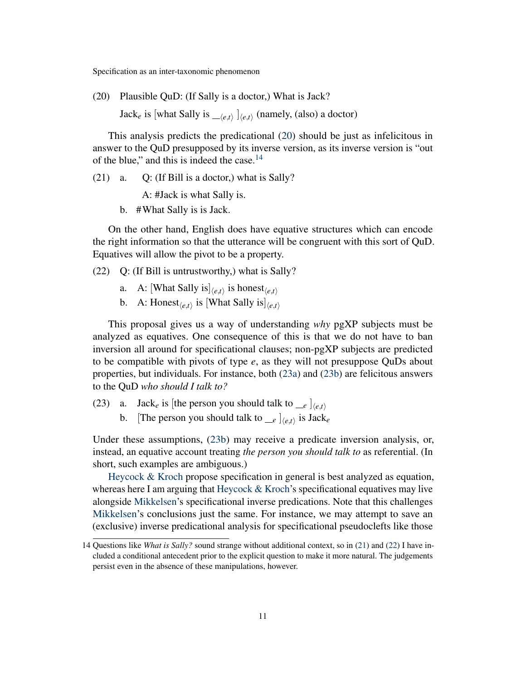(20) Plausible QuD: (If Sally is a doctor,) What is Jack?

Jack<sub>*e*</sub> is [what Sally is  $\begin{bmatrix} \mu(t) \end{bmatrix}$ ,  $\begin{bmatrix} \mu(t) \end{bmatrix}$ , (also) a doctor)

This analysis predicts the predicational [\(20\)](#page-8-0) should be just as infelicitous in answer to the QuD presupposed by its inverse version, as its inverse version is "out of the blue," and this is indeed the case.<sup>[14](#page-10-0)</sup>

 $(21)$  a. O: (If Bill is a doctor,) what is Sally?

A: #Jack is what Sally is.

b. #What Sally is is Jack.

On the other hand, English does have equative structures which can encode the right information so that the utterance will be congruent with this sort of QuD. Equatives will allow the pivot to be a property.

(22) Q: (If Bill is untrustworthy,) what is Sally?

- a. A: [What Sally is] $\langle e,t \rangle$  is honest $\langle e,t \rangle$
- b. A: Honest $\langle e,t \rangle$  is [What Sally is] $\langle e,t \rangle$

This proposal gives us a way of understanding *why* pgXP subjects must be analyzed as equatives. One consequence of this is that we do not have to ban inversion all around for specificational clauses; non-pgXP subjects are predicted to be compatible with pivots of type *e*, as they will not presuppose QuDs about properties, but individuals. For instance, both [\(23a\)](#page-8-0) and [\(23b\)](#page-8-0) are felicitous answers to the QuD *who should I talk to?*

- (23) a. Jack<sub>e</sub> is [the person you should talk to  $\leq_e$  ]<sub> $\langle e,t \rangle$ </sub>
	- b. [The person you should talk to  $\begin{bmatrix} e & e \end{bmatrix}$ *(e,t)* is Jack<sub>*e*</sub>

Under these assumptions, [\(23b\)](#page-8-0) may receive a predicate inversion analysis, or, instead, an equative account treating *the person you should talk to* as referential. (In short, such examples are ambiguous.)

[Heycock & Kroch](#page-41-2) propose specification in general is best analyzed as equation, whereas here I am arguing that [Heycock & Kroch'](#page-41-2)s specificational equatives may live alongside [Mikkelsen'](#page-41-1)s specificational inverse predications. Note that this challenges [Mikkelsen'](#page-41-1)s conclusions just the same. For instance, we may attempt to save an (exclusive) inverse predicational analysis for specificational pseudoclefts like those

<span id="page-10-0"></span><sup>14</sup> Questions like *What is Sally?* sound strange without additional context, so in [\(21\)](#page-8-0) and [\(22\)](#page-8-0) I have included a conditional antecedent prior to the explicit question to make it more natural. The judgements persist even in the absence of these manipulations, however.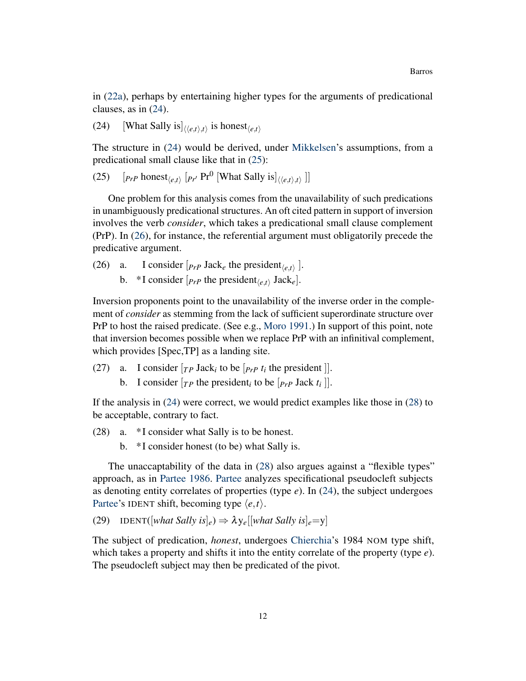in [\(22a\)](#page-8-0), perhaps by entertaining higher types for the arguments of predicational clauses, as in [\(24\)](#page-8-0).

(24) [What Sally is  $\left| \langle e, t \rangle, t \rangle \right|$  is honest $\langle e, t \rangle$ 

The structure in [\(24\)](#page-8-0) would be derived, under [Mikkelsen'](#page-41-1)s assumptions, from a predicational small clause like that in [\(25\)](#page-8-0):

(25)  $[p_{r}$  honest<sub> $\langle e,t \rangle$ </sub>  $[p_{r}$ <sup>*r*</sup> Pr<sup>0</sup> [What Sally is] $\langle \langle e,t \rangle, t \rangle$  ]]

One problem for this analysis comes from the unavailability of such predications in unambiguously predicational structures. An oft cited pattern in support of inversion involves the verb *consider*, which takes a predicational small clause complement (PrP). In [\(26\)](#page-8-0), for instance, the referential argument must obligatorily precede the predicative argument.

(26) a. I consider  $[p_{rP}$  Jack<sub>*e*</sub> the president<sub> $\langle e,t \rangle$ </sub>. b. \*I consider  $[p_{rP}$  the president<sub> $\langle e,t \rangle$ </sub> Jack<sub>*e*</sub>].

Inversion proponents point to the unavailability of the inverse order in the complement of *consider* as stemming from the lack of sufficient superordinate structure over PrP to host the raised predicate. (See e.g., [Moro](#page-41-14) [1991.](#page-41-14)) In support of this point, note that inversion becomes possible when we replace PrP with an infinitival complement, which provides [Spec,TP] as a landing site.

- (27) a. I consider  $[r_P \text{ Jack}_i \text{ to be } [P_{FP} \, t_i \text{ the president }]].$ 
	- b. I consider  $[r_P$  the president<sub>*i*</sub> to be  $[r_P$  Jack  $t_i$ ].

If the analysis in [\(24\)](#page-8-0) were correct, we would predict examples like those in [\(28\)](#page-8-0) to be acceptable, contrary to fact.

- (28) a. \* I consider what Sally is to be honest.
	- b. \* I consider honest (to be) what Sally is.

The unaccaptability of the data in [\(28\)](#page-8-0) also argues against a "flexible types" approach, as in [Partee](#page-41-5) [1986.](#page-41-5) [Partee](#page-41-5) analyzes specificational pseudocleft subjects as denoting entity correlates of properties (type *e*). In [\(24\)](#page-8-0), the subject undergoes [Partee'](#page-41-5)s IDENT shift, becoming type  $\langle e, t \rangle$ .

(29) IDENT( $[what Sally is]_e$ )  $\Rightarrow \lambda y_e[[what Sally is]_e=y]$ 

The subject of predication, *honest*, undergoes [Chierchia'](#page-39-4)s 1984 NOM type shift, which takes a property and shifts it into the entity correlate of the property (type *e*). The pseudocleft subject may then be predicated of the pivot.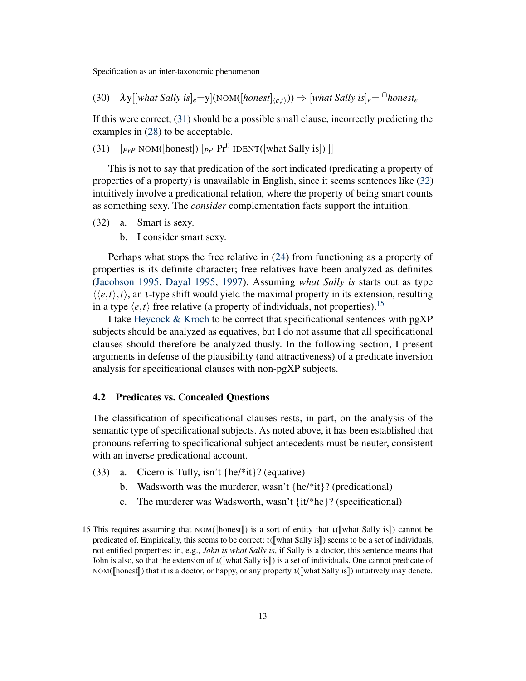(30)  $\lambda$ y[[what Sally is]<sub>e</sub>=y](NOM([honest]<sub> $\langle e,t \rangle$ </sub>))  $\Rightarrow$  [what Sally is]<sub>e</sub>=  $\cap$ honest<sub>e</sub>

If this were correct, [\(31\)](#page-8-0) should be a possible small clause, incorrectly predicting the examples in [\(28\)](#page-8-0) to be acceptable.

(31)  $[p_{rP} \text{ NOM}([honest]) [p_{r'} \text{ Pr}^0 \text{ IDENT}([what Sally is])$ 

This is not to say that predication of the sort indicated (predicating a property of properties of a property) is unavailable in English, since it seems sentences like [\(32\)](#page-8-0) intuitively involve a predicational relation, where the property of being smart counts as something sexy. The *consider* complementation facts support the intuition.

- (32) a. Smart is sexy.
	- b. I consider smart sexy.

Perhaps what stops the free relative in [\(24\)](#page-8-0) from functioning as a property of properties is its definite character; free relatives have been analyzed as definites [\(Jacobson](#page-41-15) [1995,](#page-41-15) [Dayal](#page-40-11) [1995,](#page-40-11) [1997\)](#page-40-12). Assuming *what Sally is* starts out as type  $\langle\langle e,t\rangle,t\rangle$ , an *t*-type shift would yield the maximal property in its extension, resulting in a type  $\langle e,t \rangle$  free relative (a property of individuals, not properties).<sup>[15](#page-12-0)</sup>

I take [Heycock & Kroch](#page-40-0) to be correct that specificational sentences with pgXP subjects should be analyzed as equatives, but I do not assume that all specificational clauses should therefore be analyzed thusly. In the following section, I present arguments in defense of the plausibility (and attractiveness) of a predicate inversion analysis for specificational clauses with non-pgXP subjects.

### <span id="page-12-1"></span>4.2 Predicates vs. Concealed Questions

The classification of specificational clauses rests, in part, on the analysis of the semantic type of specificational subjects. As noted above, it has been established that pronouns referring to specificational subject antecedents must be neuter, consistent with an inverse predicational account.

- (33) a. Cicero is Tully, isn't {he/\*it}? (equative)
	- b. Wadsworth was the murderer, wasn't {he/\*it}? (predicational)
	- c. The murderer was Wadsworth, wasn't {it/\*he}? (specificational)

<span id="page-12-0"></span><sup>15</sup> This requires assuming that NOM([honest]]) is a sort of entity that  $\iota$ ([what Sally is]]) cannot be predicated of. Empirically, this seems to be correct;  $\iota$ ([what Sally is]) seems to be a set of individuals, not entified properties: in, e.g., *John is what Sally is*, if Sally is a doctor, this sentence means that John is also, so that the extension of  $\iota$ ([what Sally is]] is a set of individuals. One cannot predicate of NOM( $\lbrack \lbrack$ honest $\rbrack$ ) that it is a doctor, or happy, or any property  $\iota(\lbrack \lbrack \lbrack \lbrack \lbrack \lbrack$ what Sally is $\rbrack \rbrack$ ) intuitively may denote.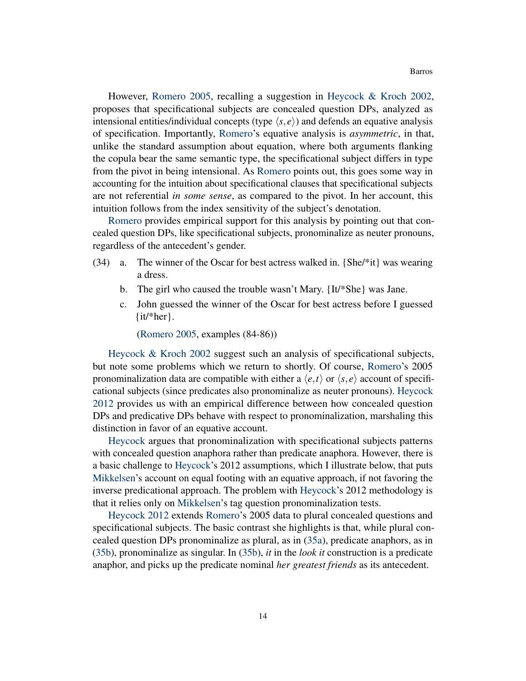However, [Romero](#page-41-9) [2005,](#page-41-9) recalling a suggestion in [Heycock & Kroch](#page-41-3) [2002,](#page-41-3) proposes that specificational subjects are concealed question DPs, analyzed as intensional entities/individual concepts (type  $\langle s, e \rangle$ ) and defends an equative analysis of specification. Importantly, [Romero'](#page-41-9)s equative analysis is *asymmetric*, in that, unlike the standard assumption about equation, where both arguments flanking the copula bear the same semantic type, the specificational subject differs in type from the pivot in being intensional. As [Romero](#page-41-9) points out, this goes some way in accounting for the intuition about specificational clauses that specificational subjects are not referential *in some sense*, as compared to the pivot. In her account, this intuition follows from the index sensitivity of the subject's denotation.

[Romero](#page-41-9) provides empirical support for this analysis by pointing out that concealed question DPs, like specificational subjects, pronominalize as neuter pronouns, regardless of the antecedent's gender.

- (34) a. The winner of the Oscar for best actress walked in. {She/\*it} was wearing a dress.
	- b. The girl who caused the trouble wasn't Mary. {It/\*She} was Jane.
	- c. John guessed the winner of the Oscar for best actress before I guessed {it/\*her}.

[\(Romero](#page-41-9) [2005,](#page-41-9) examples (84-86))

[Heycock & Kroch](#page-41-3) [2002](#page-41-3) suggest such an analysis of specificational subjects, but note some problems which we return to shortly. Of course, [Romero'](#page-41-9)s 2005 pronominalization data are compatible with either a  $\langle e, t \rangle$  or  $\langle s, e \rangle$  account of specificational subjects (since predicates also pronominalize as neuter pronouns). [Heycock](#page-40-1) [2012](#page-40-1) provides us with an empirical difference between how concealed question DPs and predicative DPs behave with respect to pronominalization, marshaling this distinction in favor of an equative account.

[Heycock](#page-40-1) argues that pronominalization with specificational subjects patterns with concealed question anaphora rather than predicate anaphora. However, there is a basic challenge to [Heycock'](#page-40-1)s 2012 assumptions, which I illustrate below, that puts [Mikkelsen'](#page-41-1)s account on equal footing with an equative approach, if not favoring the inverse predicational approach. The problem with [Heycock'](#page-40-1)s 2012 methodology is that it relies only on [Mikkelsen'](#page-41-1)s tag question pronominalization tests.

[Heycock](#page-40-1) [2012](#page-40-1) extends [Romero'](#page-41-9)s 2005 data to plural concealed questions and specificational subjects. The basic contrast she highlights is that, while plural concealed question DPs pronominalize as plural, as in [\(35a\)](#page-12-1), predicate anaphors, as in [\(35b\)](#page-12-1), pronominalize as singular. In [\(35b\)](#page-12-1), *it* in the *look it* construction is a predicate anaphor, and picks up the predicate nominal *her greatest friends* as its antecedent.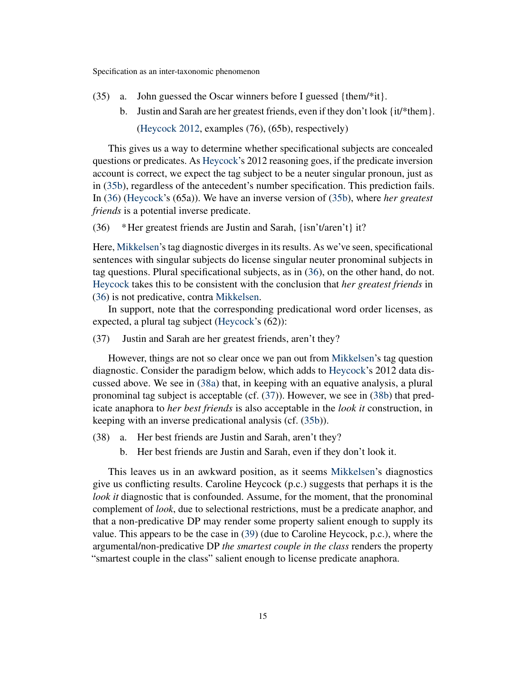- (35) a. John guessed the Oscar winners before I guessed {them/\*it}.
	- b. Justin and Sarah are her greatest friends, even if they don't look {it/\*them}.

[\(Heycock](#page-40-1) [2012,](#page-40-1) examples (76), (65b), respectively)

This gives us a way to determine whether specificational subjects are concealed questions or predicates. As [Heycock'](#page-40-1)s 2012 reasoning goes, if the predicate inversion account is correct, we expect the tag subject to be a neuter singular pronoun, just as in [\(35b\)](#page-12-1), regardless of the antecedent's number specification. This prediction fails. In [\(36\)](#page-12-1) [\(Heycock'](#page-40-1)s (65a)). We have an inverse version of [\(35b\)](#page-12-1), where *her greatest friends* is a potential inverse predicate.

(36) \*Her greatest friends are Justin and Sarah, {isn't/aren't} it?

Here, [Mikkelsen'](#page-41-1)s tag diagnostic diverges in its results. As we've seen, specificational sentences with singular subjects do license singular neuter pronominal subjects in tag questions. Plural specificational subjects, as in [\(36\)](#page-12-1), on the other hand, do not. [Heycock](#page-40-1) takes this to be consistent with the conclusion that *her greatest friends* in [\(36\)](#page-12-1) is not predicative, contra [Mikkelsen.](#page-41-1)

In support, note that the corresponding predicational word order licenses, as expected, a plural tag subject [\(Heycock'](#page-40-1)s (62)):

(37) Justin and Sarah are her greatest friends, aren't they?

However, things are not so clear once we pan out from [Mikkelsen'](#page-41-1)s tag question diagnostic. Consider the paradigm below, which adds to [Heycock'](#page-40-1)s 2012 data discussed above. We see in [\(38a\)](#page-12-1) that, in keeping with an equative analysis, a plural pronominal tag subject is acceptable (cf. [\(37\)](#page-12-1)). However, we see in [\(38b\)](#page-12-1) that predicate anaphora to *her best friends* is also acceptable in the *look it* construction, in keeping with an inverse predicational analysis (cf. [\(35b\)](#page-12-1)).

- (38) a. Her best friends are Justin and Sarah, aren't they?
	- b. Her best friends are Justin and Sarah, even if they don't look it.

This leaves us in an awkward position, as it seems [Mikkelsen'](#page-41-1)s diagnostics give us conflicting results. Caroline Heycock (p.c.) suggests that perhaps it is the *look it* diagnostic that is confounded. Assume, for the moment, that the pronominal complement of *look*, due to selectional restrictions, must be a predicate anaphor, and that a non-predicative DP may render some property salient enough to supply its value. This appears to be the case in [\(39\)](#page-12-1) (due to Caroline Heycock, p.c.), where the argumental/non-predicative DP *the smartest couple in the class* renders the property "smartest couple in the class" salient enough to license predicate anaphora.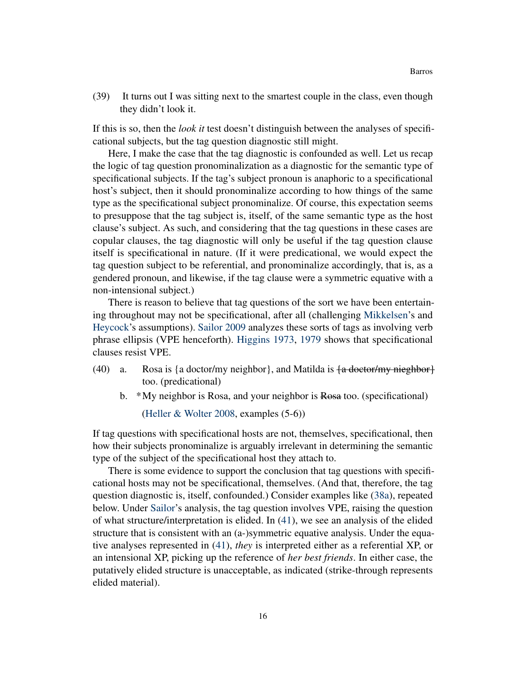(39) It turns out I was sitting next to the smartest couple in the class, even though they didn't look it.

If this is so, then the *look it* test doesn't distinguish between the analyses of specificational subjects, but the tag question diagnostic still might.

Here, I make the case that the tag diagnostic is confounded as well. Let us recap the logic of tag question pronominalization as a diagnostic for the semantic type of specificational subjects. If the tag's subject pronoun is anaphoric to a specificational host's subject, then it should pronominalize according to how things of the same type as the specificational subject pronominalize. Of course, this expectation seems to presuppose that the tag subject is, itself, of the same semantic type as the host clause's subject. As such, and considering that the tag questions in these cases are copular clauses, the tag diagnostic will only be useful if the tag question clause itself is specificational in nature. (If it were predicational, we would expect the tag question subject to be referential, and pronominalize accordingly, that is, as a gendered pronoun, and likewise, if the tag clause were a symmetric equative with a non-intensional subject.)

There is reason to believe that tag questions of the sort we have been entertaining throughout may not be specificational, after all (challenging [Mikkelsen'](#page-41-1)s and [Heycock'](#page-40-1)s assumptions). [Sailor](#page-42-3) [2009](#page-42-3) analyzes these sorts of tags as involving verb phrase ellipsis (VPE henceforth). [Higgins](#page-41-10) [1973,](#page-41-10) [1979](#page-41-0) shows that specificational clauses resist VPE.

- (40) a. Rosa is {a doctor/my neighbor}, and Matilda is  $\{a \cdot \text{detector/my nieghbor}\}$ too. (predicational)
	- b. \*My neighbor is Rosa, and your neighbor is Rosa too. (specificational)

[\(Heller & Wolter](#page-40-4) [2008,](#page-40-4) examples (5-6))

If tag questions with specificational hosts are not, themselves, specificational, then how their subjects pronominalize is arguably irrelevant in determining the semantic type of the subject of the specificational host they attach to.

There is some evidence to support the conclusion that tag questions with specificational hosts may not be specificational, themselves. (And that, therefore, the tag question diagnostic is, itself, confounded.) Consider examples like [\(38a\)](#page-12-1), repeated below. Under [Sailor'](#page-42-3)s analysis, the tag question involves VPE, raising the question of what structure/interpretation is elided. In [\(41\)](#page-12-1), we see an analysis of the elided structure that is consistent with an (a-)symmetric equative analysis. Under the equative analyses represented in [\(41\)](#page-12-1), *they* is interpreted either as a referential XP, or an intensional XP, picking up the reference of *her best friends*. In either case, the putatively elided structure is unacceptable, as indicated (strike-through represents elided material).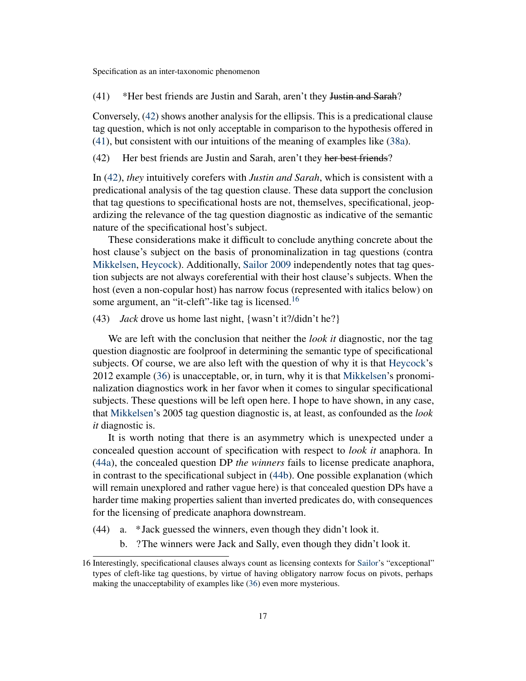(41) \*Her best friends are Justin and Sarah, aren't they Justin and Sarah?

Conversely, [\(42\)](#page-12-1) shows another analysis for the ellipsis. This is a predicational clause tag question, which is not only acceptable in comparison to the hypothesis offered in [\(41\)](#page-12-1), but consistent with our intuitions of the meaning of examples like [\(38a\)](#page-12-1).

(42) Her best friends are Justin and Sarah, aren't they her best friends?

In [\(42\)](#page-12-1), *they* intuitively corefers with *Justin and Sarah*, which is consistent with a predicational analysis of the tag question clause. These data support the conclusion that tag questions to specificational hosts are not, themselves, specificational, jeopardizing the relevance of the tag question diagnostic as indicative of the semantic nature of the specificational host's subject.

These considerations make it difficult to conclude anything concrete about the host clause's subject on the basis of pronominalization in tag questions (contra [Mikkelsen,](#page-41-1) [Heycock\)](#page-40-1). Additionally, [Sailor](#page-42-3) [2009](#page-42-3) independently notes that tag question subjects are not always coreferential with their host clause's subjects. When the host (even a non-copular host) has narrow focus (represented with italics below) on some argument, an "it-cleft"-like tag is licensed.<sup>[16](#page-16-0)</sup>

(43) *Jack* drove us home last night, {wasn't it?/didn't he?}

We are left with the conclusion that neither the *look it* diagnostic, nor the tag question diagnostic are foolproof in determining the semantic type of specificational subjects. Of course, we are also left with the question of why it is that [Heycock'](#page-40-1)s 2012 example [\(36\)](#page-12-1) is unacceptable, or, in turn, why it is that [Mikkelsen'](#page-41-1)s pronominalization diagnostics work in her favor when it comes to singular specificational subjects. These questions will be left open here. I hope to have shown, in any case, that [Mikkelsen'](#page-41-1)s 2005 tag question diagnostic is, at least, as confounded as the *look it* diagnostic is.

It is worth noting that there is an asymmetry which is unexpected under a concealed question account of specification with respect to *look it* anaphora. In [\(44a\)](#page-12-1), the concealed question DP *the winners* fails to license predicate anaphora, in contrast to the specificational subject in [\(44b\)](#page-12-1). One possible explanation (which will remain unexplored and rather vague here) is that concealed question DPs have a harder time making properties salient than inverted predicates do, with consequences for the licensing of predicate anaphora downstream.

- (44) a. \* Jack guessed the winners, even though they didn't look it.
	- b. ?The winners were Jack and Sally, even though they didn't look it.

<span id="page-16-0"></span><sup>16</sup> Interestingly, specificational clauses always count as licensing contexts for [Sailor'](#page-42-3)s "exceptional" types of cleft-like tag questions, by virtue of having obligatory narrow focus on pivots, perhaps making the unacceptability of examples like [\(36\)](#page-12-1) even more mysterious.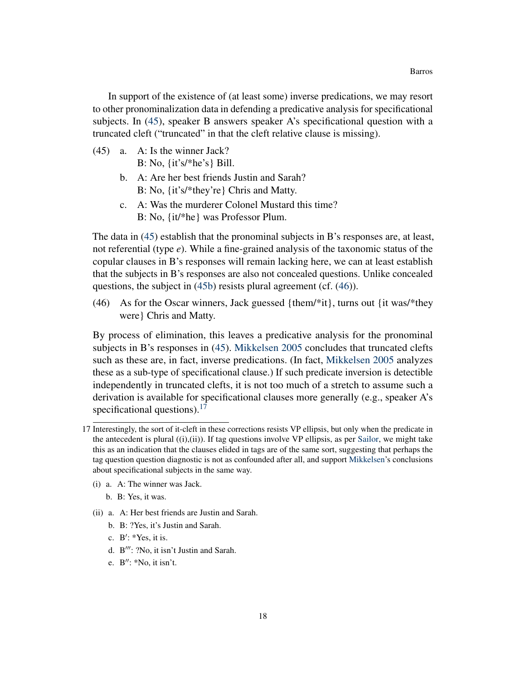In support of the existence of (at least some) inverse predications, we may resort to other pronominalization data in defending a predicative analysis for specificational subjects. In [\(45\)](#page-12-1), speaker B answers speaker A's specificational question with a truncated cleft ("truncated" in that the cleft relative clause is missing).

- (45) a. A: Is the winner Jack? B: No, {it's/\*he's} Bill.
	- b. A: Are her best friends Justin and Sarah? B: No, {it's/\*they're} Chris and Matty.
	- c. A: Was the murderer Colonel Mustard this time? B: No, {it/\*he} was Professor Plum.

The data in [\(45\)](#page-12-1) establish that the pronominal subjects in B's responses are, at least, not referential (type *e*). While a fine-grained analysis of the taxonomic status of the copular clauses in B's responses will remain lacking here, we can at least establish that the subjects in B's responses are also not concealed questions. Unlike concealed questions, the subject in [\(45b\)](#page-12-1) resists plural agreement (cf. [\(46\)](#page-12-1)).

(46) As for the Oscar winners, Jack guessed {them/\*it}, turns out {it was/\*they were} Chris and Matty.

By process of elimination, this leaves a predicative analysis for the pronominal subjects in B's responses in [\(45\)](#page-12-1). [Mikkelsen](#page-41-1) [2005](#page-41-1) concludes that truncated clefts such as these are, in fact, inverse predications. (In fact, [Mikkelsen](#page-41-1) [2005](#page-41-1) analyzes these as a sub-type of specificational clause.) If such predicate inversion is detectible independently in truncated clefts, it is not too much of a stretch to assume such a derivation is available for specificational clauses more generally (e.g., speaker A's specificational questions).<sup>[17](#page-17-0)</sup>

- (i) a. A: The winner was Jack.
	- b. B: Yes, it was.
- (ii) a. A: Her best friends are Justin and Sarah.
	- b. B: ?Yes, it's Justin and Sarah.
	- c.  $B'$ : \*Yes, it is.
	- d.  $B'''$ : ?No, it isn't Justin and Sarah.
	- e.  $B''$ : \*No, it isn't.

<span id="page-17-0"></span><sup>17</sup> Interestingly, the sort of it-cleft in these corrections resists VP ellipsis, but only when the predicate in the antecedent is plural  $((i), (ii))$ . If tag questions involve VP ellipsis, as per [Sailor,](#page-42-3) we might take this as an indication that the clauses elided in tags are of the same sort, suggesting that perhaps the tag question question diagnostic is not as confounded after all, and support [Mikkelsen'](#page-41-1)s conclusions about specificational subjects in the same way.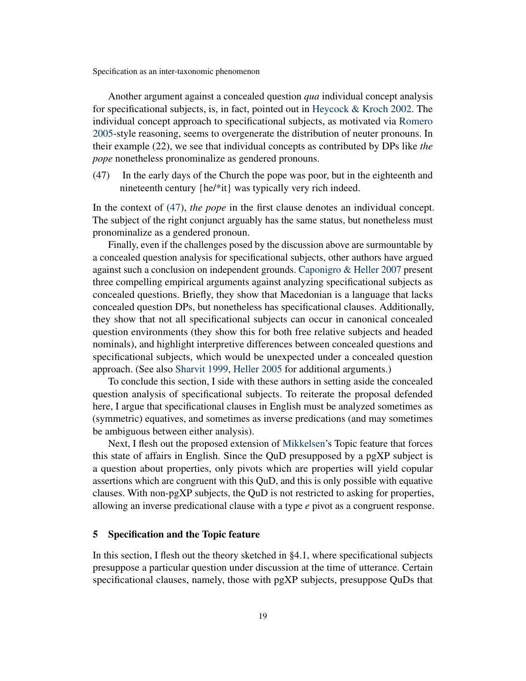Another argument against a concealed question *qua* individual concept analysis for specificational subjects, is, in fact, pointed out in [Heycock & Kroch](#page-41-3) [2002.](#page-41-3) The individual concept approach to specificational subjects, as motivated via [Romero](#page-41-9) [2005-](#page-41-9)style reasoning, seems to overgenerate the distribution of neuter pronouns. In their example (22), we see that individual concepts as contributed by DPs like *the pope* nonetheless pronominalize as gendered pronouns.

(47) In the early days of the Church the pope was poor, but in the eighteenth and nineteenth century {he/\*it} was typically very rich indeed.

In the context of [\(47\)](#page-12-1), *the pope* in the first clause denotes an individual concept. The subject of the right conjunct arguably has the same status, but nonetheless must pronominalize as a gendered pronoun.

Finally, even if the challenges posed by the discussion above are surmountable by a concealed question analysis for specificational subjects, other authors have argued against such a conclusion on independent grounds. [Caponigro & Heller](#page-39-5) [2007](#page-39-5) present three compelling empirical arguments against analyzing specificational subjects as concealed questions. Briefly, they show that Macedonian is a language that lacks concealed question DPs, but nonetheless has specificational clauses. Additionally, they show that not all specificational subjects can occur in canonical concealed question environments (they show this for both free relative subjects and headed nominals), and highlight interpretive differences between concealed questions and specificational subjects, which would be unexpected under a concealed question approach. (See also [Sharvit](#page-42-4) [1999,](#page-42-4) [Heller](#page-40-3) [2005](#page-40-3) for additional arguments.)

To conclude this section, I side with these authors in setting aside the concealed question analysis of specificational subjects. To reiterate the proposal defended here, I argue that specificational clauses in English must be analyzed sometimes as (symmetric) equatives, and sometimes as inverse predications (and may sometimes be ambiguous between either analysis).

Next, I flesh out the proposed extension of [Mikkelsen'](#page-41-1)s Topic feature that forces this state of affairs in English. Since the QuD presupposed by a pgXP subject is a question about properties, only pivots which are properties will yield copular assertions which are congruent with this QuD, and this is only possible with equative clauses. With non-pgXP subjects, the QuD is not restricted to asking for properties, allowing an inverse predicational clause with a type *e* pivot as a congruent response.

### 5 Specification and the Topic feature

In this section, I flesh out the theory sketched in §4.1, where specificational subjects presuppose a particular question under discussion at the time of utterance. Certain specificational clauses, namely, those with pgXP subjects, presuppose QuDs that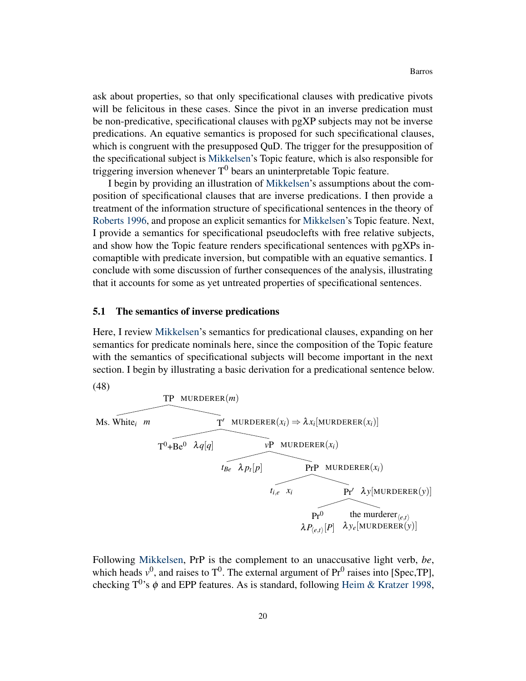ask about properties, so that only specificational clauses with predicative pivots will be felicitous in these cases. Since the pivot in an inverse predication must be non-predicative, specificational clauses with pgXP subjects may not be inverse predications. An equative semantics is proposed for such specificational clauses, which is congruent with the presupposed QuD. The trigger for the presupposition of the specificational subject is [Mikkelsen'](#page-41-1)s Topic feature, which is also responsible for triggering inversion whenever  $T^0$  bears an uninterpretable Topic feature.

I begin by providing an illustration of [Mikkelsen'](#page-41-1)s assumptions about the composition of specificational clauses that are inverse predications. I then provide a treatment of the information structure of specificational sentences in the theory of [Roberts](#page-41-13) [1996,](#page-41-13) and propose an explicit semantics for [Mikkelsen'](#page-41-1)s Topic feature. Next, I provide a semantics for specificational pseudoclefts with free relative subjects, and show how the Topic feature renders specificational sentences with pgXPs incomaptible with predicate inversion, but compatible with an equative semantics. I conclude with some discussion of further consequences of the analysis, illustrating that it accounts for some as yet untreated properties of specificational sentences.

#### <span id="page-19-0"></span>5.1 The semantics of inverse predications

Here, I review [Mikkelsen'](#page-41-1)s semantics for predicational clauses, expanding on her semantics for predicate nominals here, since the composition of the Topic feature with the semantics of specificational subjects will become important in the next section. I begin by illustrating a basic derivation for a predicational sentence below.

(48)

**THEORER** 
$$
m
$$
\n**THEORER**  $m$ \n**THEORER**  $(x_i)$ \n\nThe  $\lambda q[q]$ \n\nThe  $\lambda p_t[p]$ \n\nThe  $\lambda p_t[p]$ \n\nThe  $\lambda p_t$  is the  $\lambda p_t$  and  $p_t$  is the  $\lambda p_t$  and  $p_t$  is the  $\lambda p_t$  and  $p_t$  is the  $\lambda p_t$  and  $\lambda p_{(e,t)}[p]$  and  $\lambda p_{(e,t)}[p]$  and  $\lambda p_{(e,t)}[p]$  are the  $\lambda p_{(e,t)}[p]$  and  $\lambda p_{(e,t)}[p]$  are the  $\lambda p_{(e,t)}[p]$  and  $\lambda p_t$  is the  $\lambda p_{(e,t)}[p]$  and  $\lambda p_t$  is the  $\lambda p_{(e,t)}[p]$  and  $\lambda p_t$  is the  $\lambda p_{(e,t)}[p]$  and  $\lambda p_t$  is the  $\lambda p_t$  and  $\lambda p_t$  is the  $\lambda p_t$  and  $\lambda p_t$  is the  $\lambda p_t$  and  $\lambda p_t$  are the  $\lambda p_t$  and  $\lambda p_t$  are the  $\lambda p_t$  and  $\lambda p_t$  are the  $\lambda p_t$  and  $\lambda p_t$  are the  $\lambda p_t$  and  $\lambda p_t$  are the  $\lambda p_t$  and  $\lambda p_t$  are the  $\lambda p_t$  and  $\lambda p_t$  are the  $\lambda p_t$  and  $\lambda p_t$  are the  $\lambda p_t$  and  $\lambda p_t$  are the  $\lambda p_t$  and  $\lambda p_t$  are the

Following [Mikkelsen,](#page-41-1) PrP is the complement to an unaccusative light verb, *be*, which heads  $v^0$ , and raises to  $T^0$ . The external argument of  $Pr^0$  raises into [Spec,TP], checking T<sup>0</sup>'s  $\phi$  and EPP features. As is standard, following [Heim & Kratzer](#page-40-13) [1998,](#page-40-13)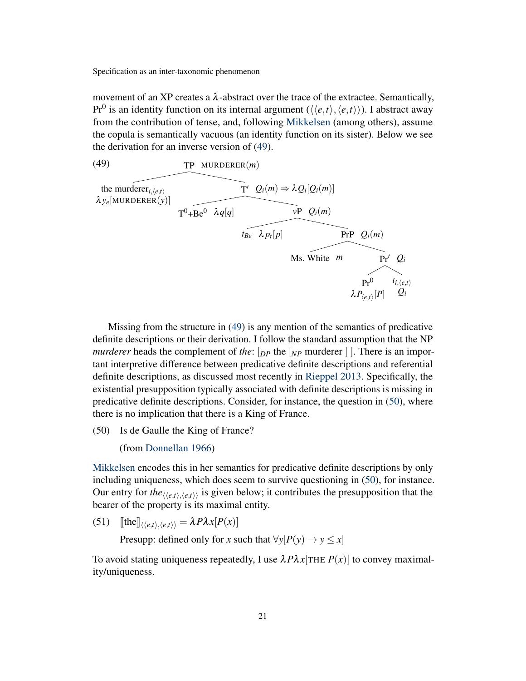movement of an XP creates a  $\lambda$ -abstract over the trace of the extractee. Semantically, Pr<sup>0</sup> is an identity function on its internal argument ( $\langle\langle e,t\rangle, \langle e,t\rangle\rangle$ ). I abstract away from the contribution of tense, and, following [Mikkelsen](#page-41-1) (among others), assume the copula is semantically vacuous (an identity function on its sister). Below we see the derivation for an inverse version of [\(49\)](#page-19-0).



Missing from the structure in [\(49\)](#page-19-0) is any mention of the semantics of predicative definite descriptions or their derivation. I follow the standard assumption that the NP *murderer* heads the complement of *the*:  $\lceil p \rceil$  the  $\lceil p \rceil$  murderer  $\lceil \rceil$ . There is an important interpretive difference between predicative definite descriptions and referential definite descriptions, as discussed most recently in [Rieppel](#page-41-16) [2013.](#page-41-16) Specifically, the existential presupposition typically associated with definite descriptions is missing in predicative definite descriptions. Consider, for instance, the question in [\(50\)](#page-19-0), where there is no implication that there is a King of France.

(50) Is de Gaulle the King of France?

(from [Donnellan](#page-40-14) [1966\)](#page-40-14)

[Mikkelsen](#page-41-1) encodes this in her semantics for predicative definite descriptions by only including uniqueness, which does seem to survive questioning in [\(50\)](#page-19-0), for instance. Our entry for *the* $\langle e, t \rangle, \langle e, t \rangle$  is given below; it contributes the presupposition that the bearer of the property is its maximal entity.

 $(\text{51})$  [the] $\langle \langle e,t \rangle, \langle e,t \rangle \rangle = \lambda P \lambda x [P(x)]$ 

Presupp: defined only for *x* such that  $\forall y[P(y) \rightarrow y \leq x]$ 

To avoid stating uniqueness repeatedly, I use  $\lambda P \lambda x$  [THE  $P(x)$ ] to convey maximality/uniqueness.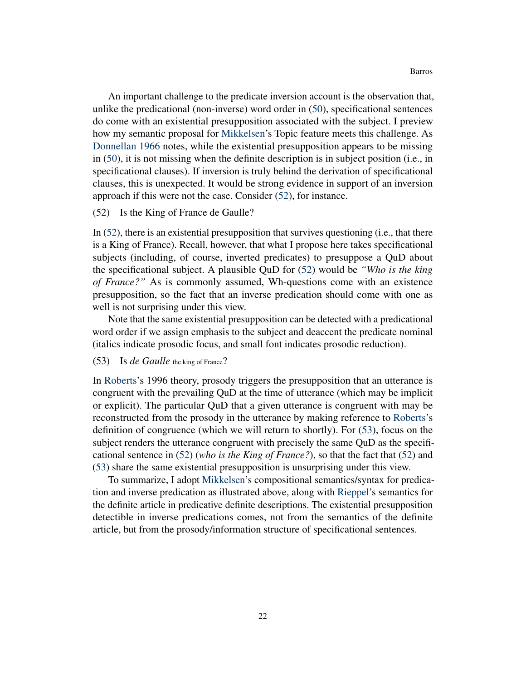An important challenge to the predicate inversion account is the observation that, unlike the predicational (non-inverse) word order in [\(50\)](#page-19-0), specificational sentences do come with an existential presupposition associated with the subject. I preview how my semantic proposal for [Mikkelsen'](#page-41-1)s Topic feature meets this challenge. As [Donnellan](#page-40-14) [1966](#page-40-14) notes, while the existential presupposition appears to be missing in [\(50\)](#page-19-0), it is not missing when the definite description is in subject position (i.e., in specificational clauses). If inversion is truly behind the derivation of specificational clauses, this is unexpected. It would be strong evidence in support of an inversion approach if this were not the case. Consider [\(52\)](#page-19-0), for instance.

#### (52) Is the King of France de Gaulle?

In [\(52\)](#page-19-0), there is an existential presupposition that survives questioning (i.e., that there is a King of France). Recall, however, that what I propose here takes specificational subjects (including, of course, inverted predicates) to presuppose a QuD about the specificational subject. A plausible QuD for [\(52\)](#page-19-0) would be *"Who is the king of France?"* As is commonly assumed, Wh-questions come with an existence presupposition, so the fact that an inverse predication should come with one as well is not surprising under this view.

Note that the same existential presupposition can be detected with a predicational word order if we assign emphasis to the subject and deaccent the predicate nominal (italics indicate prosodic focus, and small font indicates prosodic reduction).

#### (53) Is *de Gaulle* the king of France?

In [Roberts'](#page-41-13)s 1996 theory, prosody triggers the presupposition that an utterance is congruent with the prevailing QuD at the time of utterance (which may be implicit or explicit). The particular QuD that a given utterance is congruent with may be reconstructed from the prosody in the utterance by making reference to [Roberts'](#page-41-13)s definition of congruence (which we will return to shortly). For [\(53\)](#page-19-0), focus on the subject renders the utterance congruent with precisely the same QuD as the specificational sentence in [\(52\)](#page-19-0) (*who is the King of France?*), so that the fact that [\(52\)](#page-19-0) and [\(53\)](#page-19-0) share the same existential presupposition is unsurprising under this view.

To summarize, I adopt [Mikkelsen'](#page-41-1)s compositional semantics/syntax for predication and inverse predication as illustrated above, along with [Rieppel'](#page-41-16)s semantics for the definite article in predicative definite descriptions. The existential presupposition detectible in inverse predications comes, not from the semantics of the definite article, but from the prosody/information structure of specificational sentences.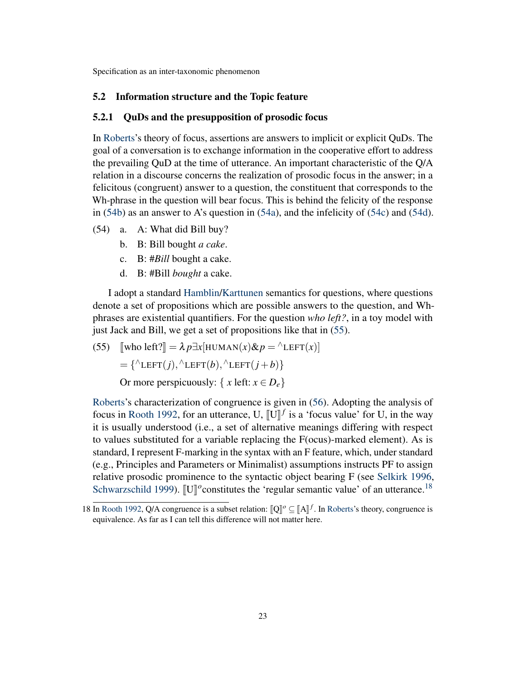### 5.2 Information structure and the Topic feature

#### <span id="page-22-0"></span>5.2.1 QuDs and the presupposition of prosodic focus

In [Roberts'](#page-41-13)s theory of focus, assertions are answers to implicit or explicit QuDs. The goal of a conversation is to exchange information in the cooperative effort to address the prevailing QuD at the time of utterance. An important characteristic of the Q/A relation in a discourse concerns the realization of prosodic focus in the answer; in a felicitous (congruent) answer to a question, the constituent that corresponds to the Wh-phrase in the question will bear focus. This is behind the felicity of the response in [\(54b\)](#page-22-0) as an answer to A's question in [\(54a\)](#page-22-0), and the infelicity of [\(54c\)](#page-22-0) and [\(54d\)](#page-22-0).

- (54) a. A: What did Bill buy?
	- b. B: Bill bought *a cake*.
	- c. B: #*Bill* bought a cake.
	- d. B: #Bill *bought* a cake.

I adopt a standard [Hamblin/](#page-40-15)[Karttunen](#page-41-17) semantics for questions, where questions denote a set of propositions which are possible answers to the question, and Whphrases are existential quantifiers. For the question *who left?*, in a toy model with just Jack and Bill, we get a set of propositions like that in [\(55\)](#page-22-0).

(55)  $\sqrt{\text{who left}} = \lambda p \exists x [\text{HUMAN}(x) \& p = \text{#LEFT}(x)]$  $=\{\triangle$ LEFT $(j), \triangle$ LEFT $(b), \triangle$ LEFT $(j+b)$ } Or more perspicuously: {  $x \text{ left: } x \in D_e$ }

[Roberts'](#page-41-13)s characterization of congruence is given in [\(56\)](#page-22-0). Adopting the analysis of focus in [Rooth](#page-42-5) [1992,](#page-42-5) for an utterance, U,  $[\![U]\!]^f$  is a 'focus value' for U, in the way<br>it is usually understood (i.e., a set of alternative meanings differing with respect it is usually understood (i.e., a set of alternative meanings differing with respect to values substituted for a variable replacing the F(ocus)-marked element). As is standard, I represent F-marking in the syntax with an F feature, which, under standard (e.g., Principles and Parameters or Minimalist) assumptions instructs PF to assign relative prosodic prominence to the syntactic object bearing F (see [Selkirk](#page-42-6) [1996,](#page-42-6) [Schwarzschild](#page-42-7) [1999\)](#page-42-7). [U]<sup>o</sup>constitutes the 'regular semantic value' of an utterance.<sup>[18](#page-22-1)</sup>

<span id="page-22-1"></span><sup>18</sup> In [Rooth](#page-42-5) [1992,](#page-42-5) Q/A congruence is a subset relation:  $\llbracket Q \rrbracket^{\sigma} \subseteq \llbracket A \rrbracket^f$ . In [Roberts'](#page-41-13)s theory, congruence is a subset of the difference will not matter here equivalence. As far as I can tell this difference will not matter here.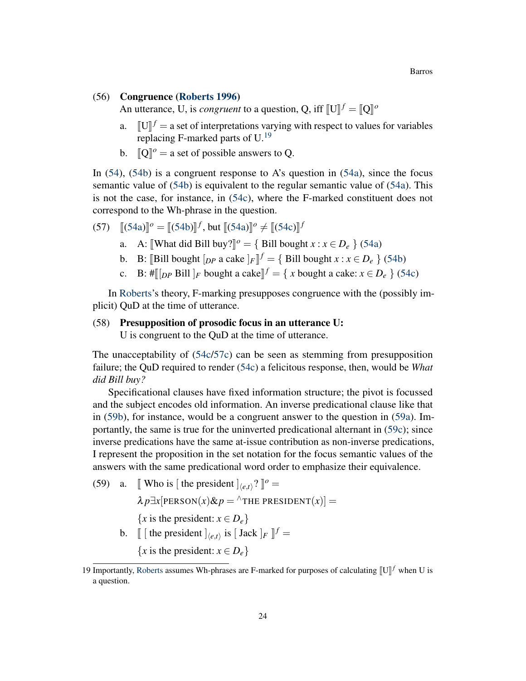#### Barros

#### (56) Congruence [\(Roberts](#page-41-13) [1996\)](#page-41-13)

An utterance, U, is *congruent* to a question, Q, iff  $[[U]]^f = [[Q]]^o$ 

- a.  $[[U]]^f = a$  set of interpretations varying with respect to values for variables replacing  $E$  marked parts of  $U^{19}$ replacing F-marked parts of U.[19](#page-23-0)
- b.  $\llbracket \mathbf{Q} \rrbracket^o = \text{a set of possible answers to Q.}$

In [\(54\)](#page-22-0), [\(54b\)](#page-22-0) is a congruent response to A's question in [\(54a\)](#page-22-0), since the focus semantic value of [\(54b\)](#page-22-0) is equivalent to the regular semantic value of [\(54a\)](#page-22-0). This is not the case, for instance, in [\(54c\)](#page-22-0), where the F-marked constituent does not correspond to the Wh-phrase in the question.

(57) 
$$
[(54a)]^o = [(54b)]^f, \text{ but } [(54a)]^o \neq [(54c)]^f
$$

- a. A:  $[\text{What did Bill buy?}]^o = {\text{Bill bought } x : x \in D_e}$  [\(54a\)](#page-22-0)
- b. B: [Bill bought  $[p \mid p]$  a cake  $]_F$ ]<sup> $f$ </sup> = { Bill bought *x* : *x*  $\in D_e$  } [\(54b\)](#page-22-0)
- c. B:  $\#\llbracket [p \text{ Bill }]_F$  bought a cake $\rrbracket^f = \{ x \text{ bought a cake: } x \in D_e \}$  [\(54c\)](#page-22-0)

In [Roberts'](#page-41-13)s theory, F-marking presupposes congruence with the (possibly implicit) QuD at the time of utterance.

#### (58) Presupposition of prosodic focus in an utterance U:

U is congruent to the QuD at the time of utterance.

The unacceptability of [\(54c/57c\)](#page-22-0) can be seen as stemming from presupposition failure; the QuD required to render [\(54c\)](#page-22-0) a felicitous response, then, would be *What did Bill buy?*

Specificational clauses have fixed information structure; the pivot is focussed and the subject encodes old information. An inverse predicational clause like that in [\(59b\)](#page-22-0), for instance, would be a congruent answer to the question in [\(59a\)](#page-22-0). Importantly, the same is true for the uninverted predicational alternant in [\(59c\)](#page-22-0); since inverse predications have the same at-issue contribution as non-inverse predications, I represent the proposition in the set notation for the focus semantic values of the answers with the same predicational word order to emphasize their equivalence.

(59) a. [ Who is [ the president  $]_{\langle e,t\rangle}$ ?  $]$ <sup>o</sup> =  $\lambda p \exists x$ [PERSON(*x*)& $p = \{f \in R$ FHE PRESIDENT(*x*)] = {*x* is the president:  $x \in D_e$ } b.  $\llbracket \left[ \text{ the president } \right]_{\langle e,t \rangle}$  is  $\llbracket \text{Jack } \right]_F \llbracket f =$ {*x* is the president:  $x \in D_e$ }

<span id="page-23-0"></span><sup>19</sup> Importantly, [Roberts](#page-41-13) assumes Wh-phrases are F-marked for purposes of calculating  $[[U]]^f$  when U is a question.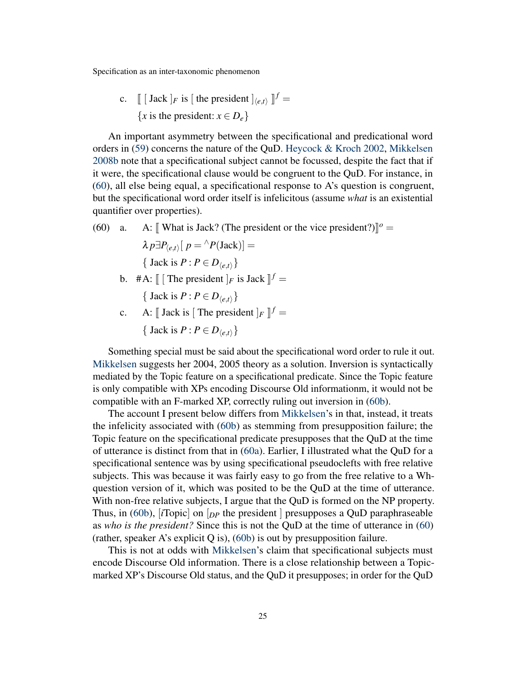c.  $\left[ \begin{bmatrix} \text{Jack} \end{bmatrix} F \text{ is } \begin{bmatrix} \text{the president} \end{bmatrix} \right]_{\langle e,t \rangle} \right]$  $f =$ {*x* is the president:  $x \in D_e$ }

An important asymmetry between the specificational and predicational word orders in [\(59\)](#page-22-0) concerns the nature of the QuD. [Heycock & Kroch](#page-41-3) [2002,](#page-41-3) [Mikkelsen](#page-41-18) [2008b](#page-41-18) note that a specificational subject cannot be focussed, despite the fact that if it were, the specificational clause would be congruent to the QuD. For instance, in [\(60\)](#page-22-0), all else being equal, a specificational response to A's question is congruent, but the specificational word order itself is infelicitous (assume *what* is an existential quantifier over properties).

(60) a. A:  $[\!]$  What is Jack? (The president or the vice president?) $]\!]$ <sup>o</sup> =  $\lambda p \exists P_{\langle e,t \rangle} [ p = \langle P(\text{Jack}) \rangle ] =$ { Jack is  $P: P \in D_{\langle e,t \rangle}$ } b.  $#A: \llbracket [\text{The president }]_F \text{ is Jack } \rrbracket^f =$ { Jack is  $P: P \in D_{\langle e,t \rangle}$ }

c. A:  $\llbracket$  Jack is  $\llbracket$  The president  $\rrbracket_F \rrbracket^f =$ { Jack is  $P: P \in D_{(e,t)}$ }

Something special must be said about the specificational word order to rule it out. [Mikkelsen](#page-41-18) suggests her 2004, 2005 theory as a solution. Inversion is syntactically mediated by the Topic feature on a specificational predicate. Since the Topic feature is only compatible with XPs encoding Discourse Old informationm, it would not be compatible with an F-marked XP, correctly ruling out inversion in [\(60b\)](#page-22-0).

The account I present below differs from [Mikkelsen'](#page-41-18)s in that, instead, it treats the infelicity associated with [\(60b\)](#page-22-0) as stemming from presupposition failure; the Topic feature on the specificational predicate presupposes that the QuD at the time of utterance is distinct from that in [\(60a\)](#page-22-0). Earlier, I illustrated what the QuD for a specificational sentence was by using specificational pseudoclefts with free relative subjects. This was because it was fairly easy to go from the free relative to a Whquestion version of it, which was posited to be the QuD at the time of utterance. With non-free relative subjects, I argue that the QuD is formed on the NP property. Thus, in [\(60b\)](#page-22-0), [*i*Topic] on [*DP* the president ] presupposes a QuD paraphraseable as *who is the president?* Since this is not the QuD at the time of utterance in [\(60\)](#page-22-0) (rather, speaker A's explicit Q is), [\(60b\)](#page-22-0) is out by presupposition failure.

This is not at odds with [Mikkelsen'](#page-41-1)s claim that specificational subjects must encode Discourse Old information. There is a close relationship between a Topicmarked XP's Discourse Old status, and the QuD it presupposes; in order for the QuD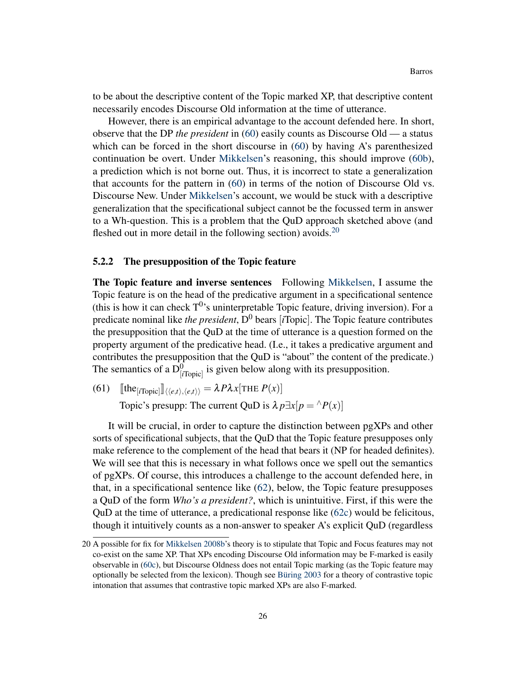to be about the descriptive content of the Topic marked XP, that descriptive content necessarily encodes Discourse Old information at the time of utterance.

However, there is an empirical advantage to the account defended here. In short, observe that the DP *the president* in [\(60\)](#page-22-0) easily counts as Discourse Old — a status which can be forced in the short discourse in [\(60\)](#page-22-0) by having A's parenthesized continuation be overt. Under [Mikkelsen'](#page-41-18)s reasoning, this should improve [\(60b\)](#page-22-0), a prediction which is not borne out. Thus, it is incorrect to state a generalization that accounts for the pattern in [\(60\)](#page-22-0) in terms of the notion of Discourse Old vs. Discourse New. Under [Mikkelsen'](#page-41-18)s account, we would be stuck with a descriptive generalization that the specificational subject cannot be the focussed term in answer to a Wh-question. This is a problem that the QuD approach sketched above (and fleshed out in more detail in the following section) avoids.  $20$ 

### 5.2.2 The presupposition of the Topic feature

<span id="page-25-1"></span>The Topic feature and inverse sentences Following [Mikkelsen,](#page-41-1) I assume the Topic feature is on the head of the predicative argument in a specificational sentence (this is how it can check  $T^0$ 's uninterpretable Topic feature, driving inversion). For a predicate nominal like *the president*,  $D^0$  bears [*i*Topic]. The Topic feature contributes the presupposition that the QuD at the time of utterance is a question formed on the property argument of the predicative head. (I.e., it takes a predicative argument and contributes the presupposition that the QuD is "about" the content of the predicate.) The semantics of a  $D^0_{[iTopic]}$  is given below along with its presupposition.

(61)  $\text{[the}_{[i\text{Topic}]} \text{]} \langle \langle e, t \rangle, \langle e, t \rangle \rangle = \lambda P \lambda x [\text{THE } P(x)]$ 

Topic's presupp: The current QuD is  $\lambda p \exists x[p = \{P(x)]\}$ 

It will be crucial, in order to capture the distinction between pgXPs and other sorts of specificational subjects, that the QuD that the Topic feature presupposes only make reference to the complement of the head that bears it (NP for headed definites). We will see that this is necessary in what follows once we spell out the semantics of pgXPs. Of course, this introduces a challenge to the account defended here, in that, in a specificational sentence like [\(62\)](#page-25-1), below, the Topic feature presupposes a QuD of the form *Who's a president?*, which is unintuitive. First, if this were the QuD at the time of utterance, a predicational response like  $(62c)$  would be felicitous, though it intuitively counts as a non-answer to speaker A's explicit QuD (regardless

<span id="page-25-0"></span><sup>20</sup> A possible for fix for [Mikkelsen](#page-41-18) [2008b'](#page-41-18)s theory is to stipulate that Topic and Focus features may not co-exist on the same XP. That XPs encoding Discourse Old information may be F-marked is easily observable in [\(60c\)](#page-22-0), but Discourse Oldness does not entail Topic marking (as the Topic feature may optionally be selected from the lexicon). Though see [Büring](#page-39-6) [2003](#page-39-6) for a theory of contrastive topic intonation that assumes that contrastive topic marked XPs are also F-marked.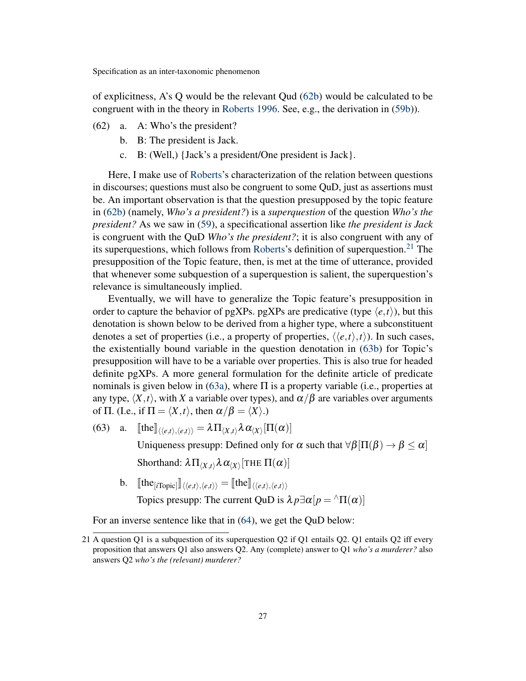of explicitness, A's Q would be the relevant Qud [\(62b\)](#page-25-1) would be calculated to be congruent with in the theory in [Roberts](#page-41-13) [1996.](#page-41-13) See, e.g., the derivation in [\(59b\)](#page-22-0)).

- (62) a. A: Who's the president?
	- b. B: The president is Jack.
	- c. B: (Well,) {Jack's a president/One president is Jack}.

Here, I make use of [Roberts'](#page-41-13)s characterization of the relation between questions in discourses; questions must also be congruent to some QuD, just as assertions must be. An important observation is that the question presupposed by the topic feature in [\(62b\)](#page-25-1) (namely, *Who's a president?*) is a *superquestion* of the question *Who's the president?* As we saw in [\(59\)](#page-22-0), a specificational assertion like *the president is Jack* is congruent with the QuD *Who's the president?*; it is also congruent with any of its superquestions, which follows from [Roberts'](#page-41-13)s definition of superquestion.<sup>[21](#page-26-0)</sup> The presupposition of the Topic feature, then, is met at the time of utterance, provided that whenever some subquestion of a superquestion is salient, the superquestion's relevance is simultaneously implied.

Eventually, we will have to generalize the Topic feature's presupposition in order to capture the behavior of pgXPs. pgXPs are predicative (type  $\langle e, t \rangle$ ), but this denotation is shown below to be derived from a higher type, where a subconstituent denotes a set of properties (i.e., a property of properties,  $\langle \langle e, t \rangle, t \rangle$ ). In such cases, the existentially bound variable in the question denotation in [\(63b\)](#page-25-1) for Topic's presupposition will have to be a variable over properties. This is also true for headed definite pgXPs. A more general formulation for the definite article of predicate nominals is given below in [\(63a\)](#page-25-1), where  $\Pi$  is a property variable (i.e., properties at any type,  $\langle X, t \rangle$ , with *X* a variable over types), and  $\alpha/\beta$  are variables over arguments of  $\Pi$ . (I.e., if  $\Pi = \langle X, t \rangle$ , then  $\alpha/\beta = \langle X \rangle$ .)

(63) a.  $[\![\text{the}]\!]_{\langle\langle e,t\rangle,\langle e,t\rangle\rangle} = \lambda \Pi_{\langle X,t\rangle} \lambda \alpha_{\langle X\rangle}[\Pi(\alpha)]$ 

Uniqueness presupp: Defined only for  $\alpha$  such that  $\forall \beta \left[ \Pi(\beta) \rightarrow \beta \leq \alpha \right]$ Shorthand:  $\lambda \Pi_{\langle X, t \rangle} \lambda \alpha_{\langle X \rangle}[\text{THE } \Pi(\alpha)]$ 

 $\text{b. } \quad \llbracket \text{the}_{[i \text{Topic}]} \rrbracket_{\langle \langle e, t \rangle, \langle e, t \rangle \rangle} = \llbracket \text{the} \rrbracket_{\langle \langle e, t \rangle, \langle e, t \rangle \rangle}$ 

Topics presupp: The current QuD is  $\lambda p \exists \alpha[p = \alpha \Pi(\alpha)]$ 

For an inverse sentence like that in [\(64\)](#page-25-1), we get the QuD below:

<span id="page-26-0"></span><sup>21</sup> A question Q1 is a subquestion of its superquestion Q2 if Q1 entails Q2. Q1 entails Q2 iff every proposition that answers Q1 also answers Q2. Any (complete) answer to Q1 *who's a murderer?* also answers Q2 *who's the (relevant) murderer?*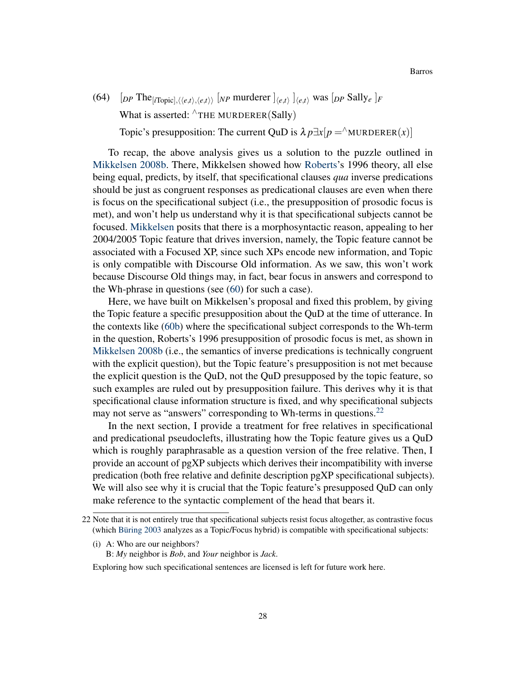(64)  $[p \text{ The } |_{i\text{Topic}}, \langle \langle e, t \rangle, \langle e, t \rangle \rangle$  [*NP* murderer  $]_{\langle e, t \rangle}$ ]  $_{\langle e, t \rangle}$  was [*DP* Sally*e*]*F* What is asserted:  $\land$ THE MURDERER(Sally)

Topic's presupposition: The current QuD is  $\lambda p \exists x[p =^{\wedge}$ MURDERER(*x*)]

To recap, the above analysis gives us a solution to the puzzle outlined in [Mikkelsen](#page-41-18) [2008b.](#page-41-18) There, Mikkelsen showed how [Roberts'](#page-41-13)s 1996 theory, all else being equal, predicts, by itself, that specificational clauses *qua* inverse predications should be just as congruent responses as predicational clauses are even when there is focus on the specificational subject (i.e., the presupposition of prosodic focus is met), and won't help us understand why it is that specificational subjects cannot be focused. [Mikkelsen](#page-41-18) posits that there is a morphosyntactic reason, appealing to her 2004/2005 Topic feature that drives inversion, namely, the Topic feature cannot be associated with a Focused XP, since such XPs encode new information, and Topic is only compatible with Discourse Old information. As we saw, this won't work because Discourse Old things may, in fact, bear focus in answers and correspond to the Wh-phrase in questions (see [\(60\)](#page-22-0) for such a case).

Here, we have built on Mikkelsen's proposal and fixed this problem, by giving the Topic feature a specific presupposition about the QuD at the time of utterance. In the contexts like [\(60b\)](#page-22-0) where the specificational subject corresponds to the Wh-term in the question, Roberts's 1996 presupposition of prosodic focus is met, as shown in [Mikkelsen](#page-41-18) [2008b](#page-41-18) (i.e., the semantics of inverse predications is technically congruent with the explicit question), but the Topic feature's presupposition is not met because the explicit question is the QuD, not the QuD presupposed by the topic feature, so such examples are ruled out by presupposition failure. This derives why it is that specificational clause information structure is fixed, and why specificational subjects may not serve as "answers" corresponding to Wh-terms in questions.<sup>[22](#page-27-0)</sup>

In the next section, I provide a treatment for free relatives in specificational and predicational pseudoclefts, illustrating how the Topic feature gives us a QuD which is roughly paraphrasable as a question version of the free relative. Then, I provide an account of pgXP subjects which derives their incompatibility with inverse predication (both free relative and definite description pgXP specificational subjects). We will also see why it is crucial that the Topic feature's presupposed QuD can only make reference to the syntactic complement of the head that bears it.

- (i) A: Who are our neighbors?
	- B: *My* neighbor is *Bob*, and *Your* neighbor is *Jack*.

<span id="page-27-0"></span><sup>22</sup> Note that it is not entirely true that specificational subjects resist focus altogether, as contrastive focus (which [Büring](#page-39-6) [2003](#page-39-6) analyzes as a Topic/Focus hybrid) is compatible with specificational subjects:

Exploring how such specificational sentences are licensed is left for future work here.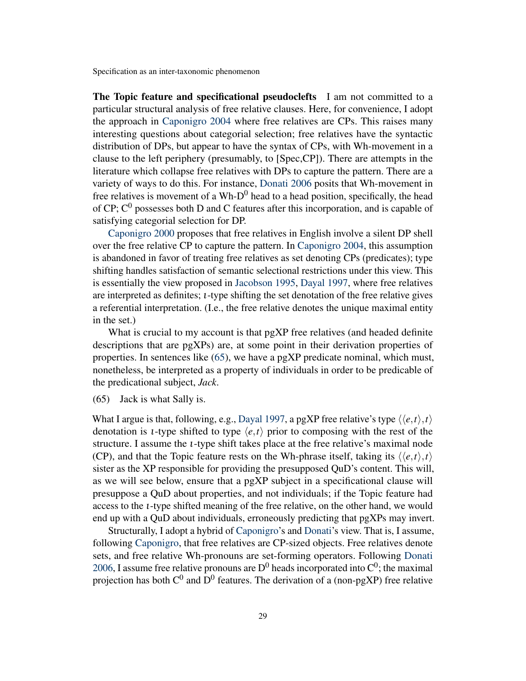<span id="page-28-0"></span>The Topic feature and specificational pseudoclefts I am not committed to a particular structural analysis of free relative clauses. Here, for convenience, I adopt the approach in [Caponigro](#page-39-7) [2004](#page-39-7) where free relatives are CPs. This raises many interesting questions about categorial selection; free relatives have the syntactic distribution of DPs, but appear to have the syntax of CPs, with Wh-movement in a clause to the left periphery (presumably, to [Spec,CP]). There are attempts in the literature which collapse free relatives with DPs to capture the pattern. There are a variety of ways to do this. For instance, [Donati](#page-40-16) [2006](#page-40-16) posits that Wh-movement in free relatives is movement of a Wh- $D^0$  head to a head position, specifically, the head of CP;  $C^0$  possesses both D and C features after this incorporation, and is capable of satisfying categorial selection for DP.

[Caponigro](#page-39-8) [2000](#page-39-8) proposes that free relatives in English involve a silent DP shell over the free relative CP to capture the pattern. In [Caponigro](#page-39-7) [2004,](#page-39-7) this assumption is abandoned in favor of treating free relatives as set denoting CPs (predicates); type shifting handles satisfaction of semantic selectional restrictions under this view. This is essentially the view proposed in [Jacobson](#page-41-15) [1995,](#page-41-15) [Dayal](#page-40-12) [1997,](#page-40-12) where free relatives are interpreted as definites; ι-type shifting the set denotation of the free relative gives a referential interpretation. (I.e., the free relative denotes the unique maximal entity in the set.)

What is crucial to my account is that pgXP free relatives (and headed definite descriptions that are pgXPs) are, at some point in their derivation properties of properties. In sentences like [\(65\)](#page-28-0), we have a pgXP predicate nominal, which must, nonetheless, be interpreted as a property of individuals in order to be predicable of the predicational subject, *Jack*.

(65) Jack is what Sally is.

What I argue is that, following, e.g., [Dayal](#page-40-12) [1997,](#page-40-12) a pgXP free relative's type  $\langle\langle e,t\rangle, t\rangle$ denotation is *t*-type shifted to type  $\langle e, t \rangle$  prior to composing with the rest of the structure. I assume the ι-type shift takes place at the free relative's maximal node (CP), and that the Topic feature rests on the Wh-phrase itself, taking its  $\langle \langle e, t \rangle, t \rangle$ sister as the XP responsible for providing the presupposed QuD's content. This will, as we will see below, ensure that a pgXP subject in a specificational clause will presuppose a QuD about properties, and not individuals; if the Topic feature had access to the ι-type shifted meaning of the free relative, on the other hand, we would end up with a QuD about individuals, erroneously predicting that pgXPs may invert.

Structurally, I adopt a hybrid of [Caponigro'](#page-39-7)s and [Donati'](#page-40-16)s view. That is, I assume, following [Caponigro,](#page-39-7) that free relatives are CP-sized objects. Free relatives denote sets, and free relative Wh-pronouns are set-forming operators. Following [Donati](#page-40-16) [2006,](#page-40-16) I assume free relative pronouns are  $D^0$  heads incorporated into  $C^0$ ; the maximal projection has both  $C^0$  and  $D^0$  features. The derivation of a (non-pgXP) free relative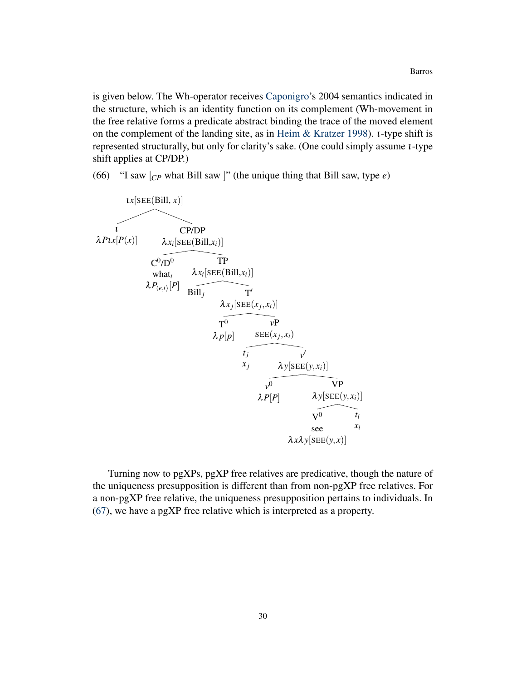is given below. The Wh-operator receives [Caponigro'](#page-39-7)s 2004 semantics indicated in the structure, which is an identity function on its complement (Wh-movement in the free relative forms a predicate abstract binding the trace of the moved element on the complement of the landing site, as in [Heim & Kratzer](#page-40-13) [1998\)](#page-40-13). ι-type shift is represented structurally, but only for clarity's sake. (One could simply assume ι-type shift applies at CP/DP.)

(66) "I saw [*CP* what Bill saw ]" (the unique thing that Bill saw, type *e*)



Turning now to pgXPs, pgXP free relatives are predicative, though the nature of the uniqueness presupposition is different than from non-pgXP free relatives. For a non-pgXP free relative, the uniqueness presupposition pertains to individuals. In [\(67\)](#page-28-0), we have a pgXP free relative which is interpreted as a property.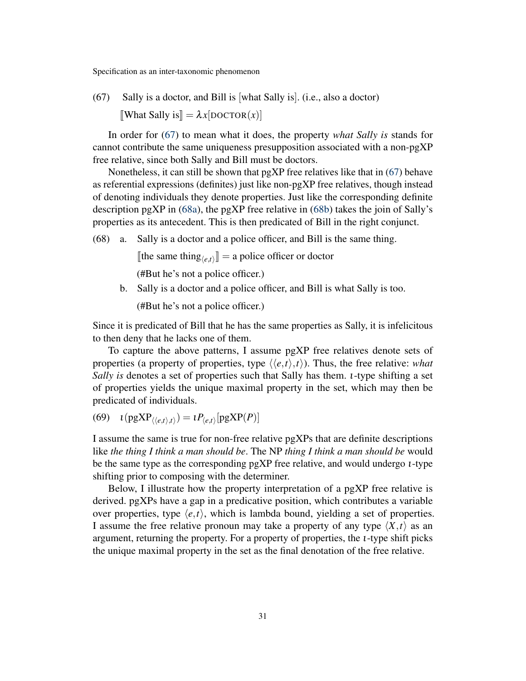(67) Sally is a doctor, and Bill is [what Sally is]. (i.e., also a doctor)  $\llbracket$ What Sally is $\llbracket = \lambda x$ [DOCTOR $(x)$ ]

In order for [\(67\)](#page-28-0) to mean what it does, the property *what Sally is* stands for cannot contribute the same uniqueness presupposition associated with a non-pgXP free relative, since both Sally and Bill must be doctors.

Nonetheless, it can still be shown that  $pgXP$  free relatives like that in [\(67\)](#page-28-0) behave as referential expressions (definites) just like non-pgXP free relatives, though instead of denoting individuals they denote properties. Just like the corresponding definite description pgXP in  $(68a)$ , the pgXP free relative in  $(68b)$  takes the join of Sally's properties as its antecedent. This is then predicated of Bill in the right conjunct.

(68) a. Sally is a doctor and a police officer, and Bill is the same thing.

[the same thing<sub> $\langle e,t \rangle$ </sub>] = a police officer or doctor

(#But he's not a police officer.)

b. Sally is a doctor and a police officer, and Bill is what Sally is too.

(#But he's not a police officer.)

Since it is predicated of Bill that he has the same properties as Sally, it is infelicitous to then deny that he lacks one of them.

To capture the above patterns, I assume pgXP free relatives denote sets of properties (a property of properties, type  $\langle \langle e, t \rangle, t \rangle$ ). Thus, the free relative: *what Sally is* denotes a set of properties such that Sally has them. ι-type shifting a set of properties yields the unique maximal property in the set, which may then be predicated of individuals.

(69)  $\iota$  ( $pgXP_{\langle\langle e,t\rangle,t\rangle}) = \iota P_{\langle e,t\rangle} [pgXP(P)]$ 

I assume the same is true for non-free relative pgXPs that are definite descriptions like *the thing I think a man should be*. The NP *thing I think a man should be* would be the same type as the corresponding pgXP free relative, and would undergo ι-type shifting prior to composing with the determiner.

Below, I illustrate how the property interpretation of a pgXP free relative is derived. pgXPs have a gap in a predicative position, which contributes a variable over properties, type  $\langle e, t \rangle$ , which is lambda bound, yielding a set of properties. I assume the free relative pronoun may take a property of any type  $\langle X, t \rangle$  as an argument, returning the property. For a property of properties, the ι-type shift picks the unique maximal property in the set as the final denotation of the free relative.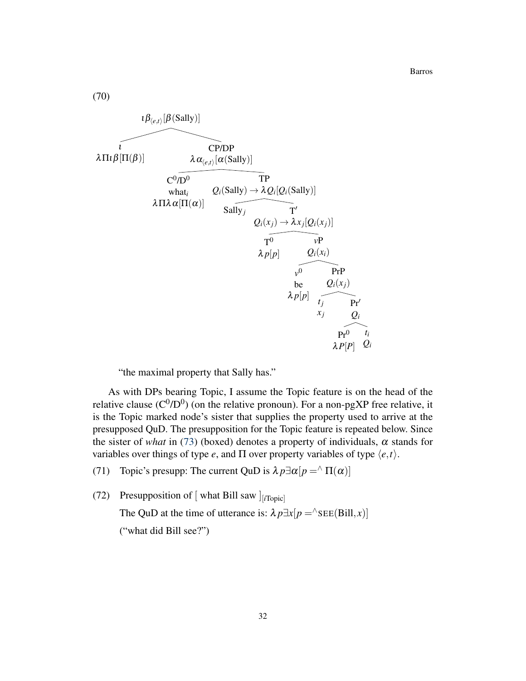Barros

(70)



"the maximal property that Sally has."

As with DPs bearing Topic, I assume the Topic feature is on the head of the relative clause ( $C^{0}/D^{0}$ ) (on the relative pronoun). For a non-pgXP free relative, it is the Topic marked node's sister that supplies the property used to arrive at the presupposed QuD. The presupposition for the Topic feature is repeated below. Since the sister of *what* in [\(73\)](#page-28-0) (boxed) denotes a property of individuals,  $\alpha$  stands for variables over things of type *e*, and  $\Pi$  over property variables of type  $\langle e, t \rangle$ .

(71) Topic's presupp: The current QuD is  $\lambda p \exists \alpha[p = \alpha \Pi(\alpha)]$ 

(72) Presupposition of [ what Bill saw ] [*i*Topic]

The QuD at the time of utterance is:  $\lambda p \exists x[p = \text{SEE(Bill}, x)]$ ("what did Bill see?")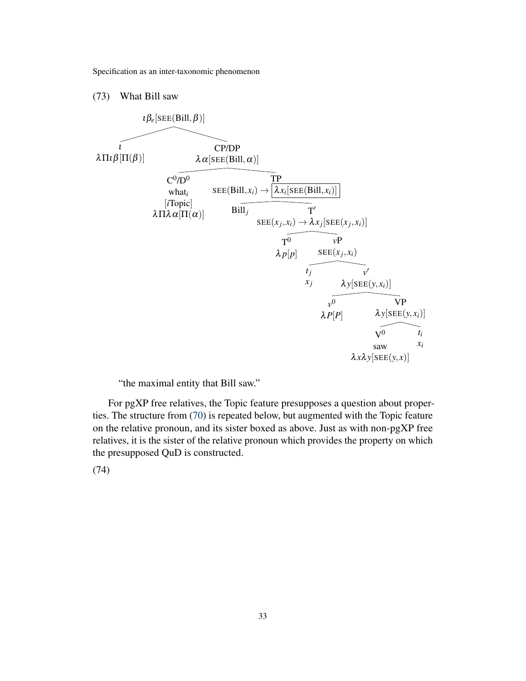### (73) What Bill saw



"the maximal entity that Bill saw."

For pgXP free relatives, the Topic feature presupposes a question about properties. The structure from [\(70\)](#page-28-0) is repeated below, but augmented with the Topic feature on the relative pronoun, and its sister boxed as above. Just as with non-pgXP free relatives, it is the sister of the relative pronoun which provides the property on which the presupposed QuD is constructed.

(74)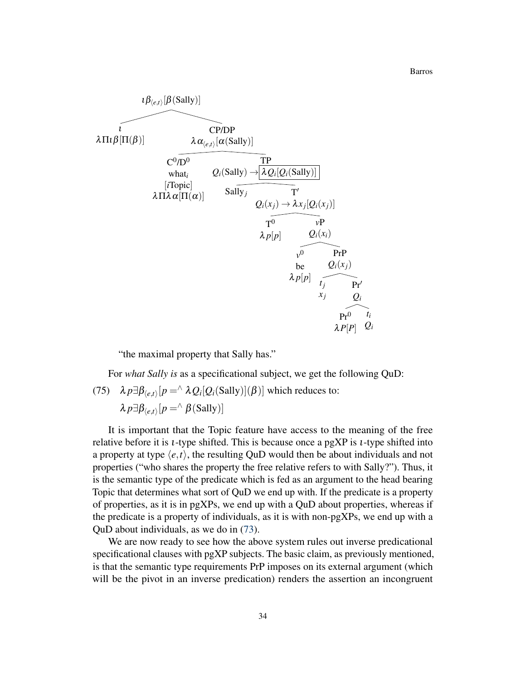$$
\frac{1}{\lambda \Pi \iota \beta[\Pi(\beta)]} \frac{\lambda \alpha_{(e,t)}[\alpha(\text{Sally})]}{\lambda \alpha_{(e,t)}[\alpha(\text{Sally})]}
$$
\n
$$
\frac{C^0 \overline{D^0}}{\text{what}_i} \frac{Q_i(\text{Sally}) \rightarrow [\lambda Q_i[Q_i(\text{Sally})]]}{Q_i(\text{Sally})}
$$
\n[*Topic*]  
\n
$$
\lambda \Pi \lambda \alpha[\Pi(\alpha)] \frac{\text{Sally}_j}{Q_i(x_j) \rightarrow \lambda x_j[Q_i(x_j)]}
$$
\n
$$
\frac{T^0}{T^0} \frac{\nu P}{\nu P}
$$
\n
$$
\frac{\lambda p[p]}{\nu^0} \frac{Q_i(x_i)}{\nu^0} \text{PrP}
$$
\n
$$
\frac{\lambda p[p]}{\nu} \frac{\gamma}{\nu} \frac{Q_i}{\nu^0} \text{PrP}
$$
\n
$$
\frac{\lambda p[p]}{\nu} \frac{\gamma}{\nu} \frac{Q_i}{\nu^0} \text{PrP}
$$
\n
$$
\frac{\lambda p[p]}{\nu^0} \frac{\gamma}{\nu} \frac{Q_i}{\nu^0} \text{PrP}
$$

"the maximal property that Sally has."

For *what Sally is* as a specificational subject, we get the following QuD:

(75)  $\lambda p \exists \beta_{\langle e,t \rangle}[p = \land \lambda Q_i[Q_i(\text{Sally})](\beta)]$  which reduces to:  $\lambda p \exists \beta_{\langle e,t \rangle}[p = \land \beta(\text{Sally})]$ 

It is important that the Topic feature have access to the meaning of the free relative before it is ι-type shifted. This is because once a pgXP is ι-type shifted into a property at type  $\langle e, t \rangle$ , the resulting QuD would then be about individuals and not properties ("who shares the property the free relative refers to with Sally?"). Thus, it is the semantic type of the predicate which is fed as an argument to the head bearing Topic that determines what sort of QuD we end up with. If the predicate is a property of properties, as it is in pgXPs, we end up with a QuD about properties, whereas if the predicate is a property of individuals, as it is with non-pgXPs, we end up with a QuD about individuals, as we do in [\(73\)](#page-28-0).

We are now ready to see how the above system rules out inverse predicational specificational clauses with pgXP subjects. The basic claim, as previously mentioned, is that the semantic type requirements PrP imposes on its external argument (which will be the pivot in an inverse predication) renders the assertion an incongruent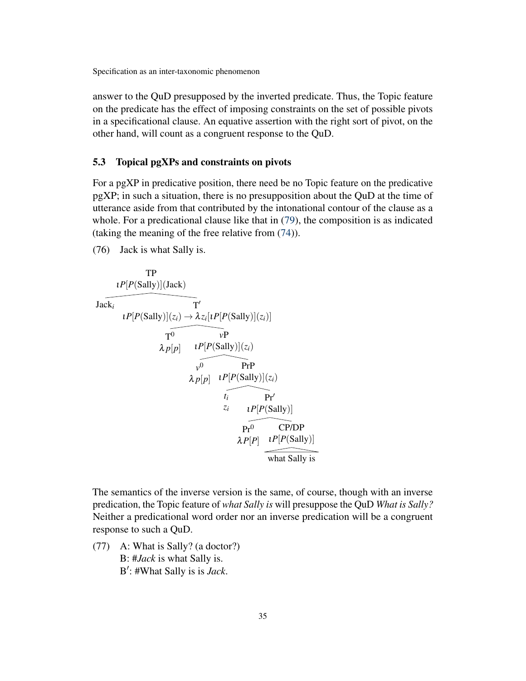answer to the QuD presupposed by the inverted predicate. Thus, the Topic feature on the predicate has the effect of imposing constraints on the set of possible pivots in a specificational clause. An equative assertion with the right sort of pivot, on the other hand, will count as a congruent response to the QuD.

### <span id="page-34-0"></span>5.3 Topical pgXPs and constraints on pivots

For a pgXP in predicative position, there need be no Topic feature on the predicative pgXP; in such a situation, there is no presupposition about the QuD at the time of utterance aside from that contributed by the intonational contour of the clause as a whole. For a predicational clause like that in [\(79\)](#page-34-0), the composition is as indicated (taking the meaning of the free relative from [\(74\)](#page-28-0)).

(76) Jack is what Sally is.

TP  
\n
$$
I^{P}[P(Sally)](Jack)
$$
\n
$$
I^{P}[P(Sally)](z_{i}) \rightarrow \lambda z_{i}[I^{P}[P(Sally)](z_{i})]
$$
\n
$$
I^{O} \qquad V^{P}
$$
\n
$$
\lambda p[p] \qquad I^{P}[P(Sally)](z_{i})
$$
\n
$$
V^{O} \qquad P\Gamma P
$$
\n
$$
\lambda p[p] \qquad I^{P}[P(Sally)](z_{i})
$$
\n
$$
I_{i} \qquad P\Gamma'
$$
\n
$$
I_{i} \qquad P\Gamma'
$$
\n
$$
I^{P}[P(Sally)]
$$
\n
$$
P\Gamma^{O} \qquad CP/DP
$$
\n
$$
\lambda P[P] \qquad I^{P}[P(Sally)]
$$
\n
$$
\longrightarrow
$$
\n
$$
V^{P}[P] \qquad I^{P}[P(Sally)]
$$
\n
$$
\longrightarrow
$$
\n
$$
V^{P}[P] \qquad V^{P}[P(Sally)]
$$
\n
$$
\longrightarrow
$$

The semantics of the inverse version is the same, of course, though with an inverse predication, the Topic feature of *what Sally is* will presuppose the QuD *What is Sally?* Neither a predicational word order nor an inverse predication will be a congruent response to such a QuD.

(77) A: What is Sally? (a doctor?) B: #*Jack* is what Sally is. B': #What Sally is is *Jack*.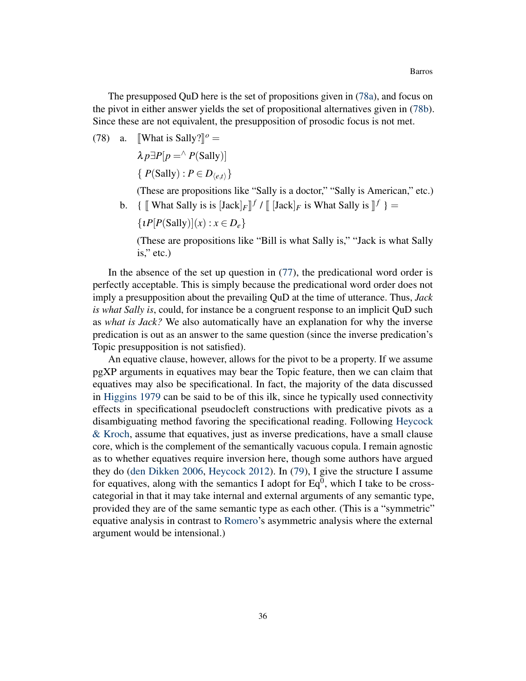The presupposed QuD here is the set of propositions given in [\(78a\)](#page-34-0), and focus on the pivot in either answer yields the set of propositional alternatives given in [\(78b\)](#page-34-0). Since these are not equivalent, the presupposition of prosodic focus is not met.

(78) a. [What is Sally?]<sup> $\degree$ </sup> =

 $\lambda p \exists P[p = \land P(Sally)]$  $\{P(Sally): P \in D_{\langle e,t \rangle}\}$ 

(These are propositions like "Sally is a doctor," "Sally is American," etc.)

b. {  $[\![$  What Sally is is  $[Jack]_F]^{f}$  /  $[\![$   $[Jack]_F$  is What Sally is  $]\!]^{f}$  } =

 $\{ \iota P[P(Sally)](x) : x \in D_e \}$ 

(These are propositions like "Bill is what Sally is," "Jack is what Sally is," etc.)

In the absence of the set up question in [\(77\)](#page-34-0), the predicational word order is perfectly acceptable. This is simply because the predicational word order does not imply a presupposition about the prevailing QuD at the time of utterance. Thus, *Jack is what Sally is*, could, for instance be a congruent response to an implicit QuD such as *what is Jack?* We also automatically have an explanation for why the inverse predication is out as an answer to the same question (since the inverse predication's Topic presupposition is not satisfied).

An equative clause, however, allows for the pivot to be a property. If we assume pgXP arguments in equatives may bear the Topic feature, then we can claim that equatives may also be specificational. In fact, the majority of the data discussed in [Higgins](#page-41-0) [1979](#page-41-0) can be said to be of this ilk, since he typically used connectivity effects in specificational pseudocleft constructions with predicative pivots as a disambiguating method favoring the specificational reading. Following [Heycock](#page-41-2) [& Kroch,](#page-41-2) assume that equatives, just as inverse predications, have a small clause core, which is the complement of the semantically vacuous copula. I remain agnostic as to whether equatives require inversion here, though some authors have argued they do [\(den Dikken](#page-40-6) [2006,](#page-40-6) [Heycock](#page-40-1) [2012\)](#page-40-1). In [\(79\)](#page-34-0), I give the structure I assume for equatives, along with the semantics I adopt for  $Eq^{0}$ , which I take to be crosscategorial in that it may take internal and external arguments of any semantic type, provided they are of the same semantic type as each other. (This is a "symmetric" equative analysis in contrast to [Romero'](#page-41-9)s asymmetric analysis where the external argument would be intensional.)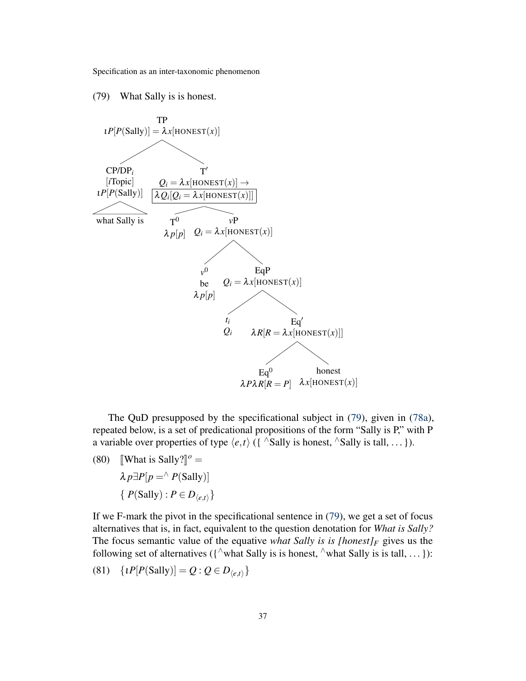(79) What Sally is is honest.



The QuD presupposed by the specificational subject in [\(79\)](#page-34-0), given in [\(78a\)](#page-34-0), repeated below, is a set of predicational propositions of the form "Sally is P," with P a variable over properties of type  $\langle e,t \rangle$  ({  $\wedge$ Sally is honest,  $\wedge$ Sally is tall, ... }).

- (80) [What is Sally?]<sup> $o$ </sup> =
	- $\lambda p \exists P[p = \land P(Sally)]$  $\{P(Sally): P \in D_{\langle e,t \rangle}\}$

If we F-mark the pivot in the specificational sentence in [\(79\)](#page-34-0), we get a set of focus alternatives that is, in fact, equivalent to the question denotation for *What is Sally?* The focus semantic value of the equative *what Sally is is [honest]* $F$  gives us the following set of alternatives ( $\{\wedge$ what Sally is is honest,  $\wedge$ what Sally is is tall, ... }):

$$
(81) \quad \{tP[P(Sally)] = Q : Q \in D_{\langle e,t \rangle}\}\
$$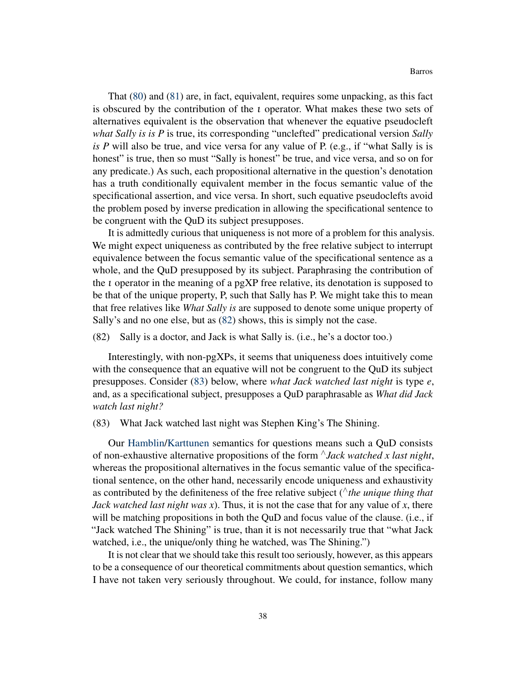That [\(80\)](#page-34-0) and [\(81\)](#page-34-0) are, in fact, equivalent, requires some unpacking, as this fact is obscured by the contribution of the ι operator. What makes these two sets of alternatives equivalent is the observation that whenever the equative pseudocleft *what Sally is is P* is true, its corresponding "unclefted" predicational version *Sally is P* will also be true, and vice versa for any value of P. (e.g., if "what Sally is is honest" is true, then so must "Sally is honest" be true, and vice versa, and so on for any predicate.) As such, each propositional alternative in the question's denotation has a truth conditionally equivalent member in the focus semantic value of the specificational assertion, and vice versa. In short, such equative pseudoclefts avoid the problem posed by inverse predication in allowing the specificational sentence to be congruent with the QuD its subject presupposes.

It is admittedly curious that uniqueness is not more of a problem for this analysis. We might expect uniqueness as contributed by the free relative subject to interrupt equivalence between the focus semantic value of the specificational sentence as a whole, and the QuD presupposed by its subject. Paraphrasing the contribution of the ι operator in the meaning of a pgXP free relative, its denotation is supposed to be that of the unique property, P, such that Sally has P. We might take this to mean that free relatives like *What Sally is* are supposed to denote some unique property of Sally's and no one else, but as [\(82\)](#page-34-0) shows, this is simply not the case.

#### (82) Sally is a doctor, and Jack is what Sally is. (i.e., he's a doctor too.)

Interestingly, with non-pgXPs, it seems that uniqueness does intuitively come with the consequence that an equative will not be congruent to the QuD its subject presupposes. Consider [\(83\)](#page-34-0) below, where *what Jack watched last night* is type *e*, and, as a specificational subject, presupposes a QuD paraphrasable as *What did Jack watch last night?*

### (83) What Jack watched last night was Stephen King's The Shining.

Our [Hamblin](#page-40-15)[/Karttunen](#page-41-17) semantics for questions means such a QuD consists of non-exhaustive alternative propositions of the form <sup>∧</sup>*Jack watched x last night*, whereas the propositional alternatives in the focus semantic value of the specificational sentence, on the other hand, necessarily encode uniqueness and exhaustivity as contributed by the definiteness of the free relative subject (∧*the unique thing that Jack watched last night was x*). Thus, it is not the case that for any value of *x*, there will be matching propositions in both the QuD and focus value of the clause. (i.e., if "Jack watched The Shining" is true, than it is not necessarily true that "what Jack watched, i.e., the unique/only thing he watched, was The Shining.")

It is not clear that we should take this result too seriously, however, as this appears to be a consequence of our theoretical commitments about question semantics, which I have not taken very seriously throughout. We could, for instance, follow many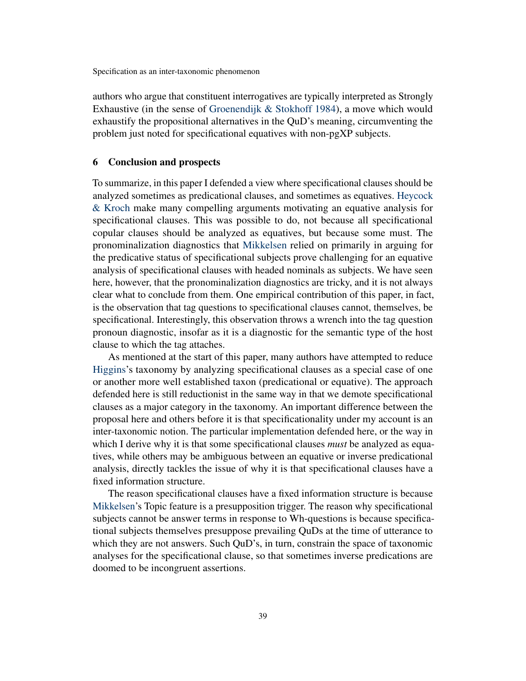authors who argue that constituent interrogatives are typically interpreted as Strongly Exhaustive (in the sense of [Groenendijk & Stokhoff](#page-40-17) [1984\)](#page-40-17), a move which would exhaustify the propositional alternatives in the QuD's meaning, circumventing the problem just noted for specificational equatives with non-pgXP subjects.

# 6 Conclusion and prospects

To summarize, in this paper I defended a view where specificational clauses should be analyzed sometimes as predicational clauses, and sometimes as equatives. [Heycock](#page-41-2) [& Kroch](#page-41-2) make many compelling arguments motivating an equative analysis for specificational clauses. This was possible to do, not because all specificational copular clauses should be analyzed as equatives, but because some must. The pronominalization diagnostics that [Mikkelsen](#page-41-1) relied on primarily in arguing for the predicative status of specificational subjects prove challenging for an equative analysis of specificational clauses with headed nominals as subjects. We have seen here, however, that the pronominalization diagnostics are tricky, and it is not always clear what to conclude from them. One empirical contribution of this paper, in fact, is the observation that tag questions to specificational clauses cannot, themselves, be specificational. Interestingly, this observation throws a wrench into the tag question pronoun diagnostic, insofar as it is a diagnostic for the semantic type of the host clause to which the tag attaches.

As mentioned at the start of this paper, many authors have attempted to reduce [Higgins'](#page-41-0)s taxonomy by analyzing specificational clauses as a special case of one or another more well established taxon (predicational or equative). The approach defended here is still reductionist in the same way in that we demote specificational clauses as a major category in the taxonomy. An important difference between the proposal here and others before it is that specificationality under my account is an inter-taxonomic notion. The particular implementation defended here, or the way in which I derive why it is that some specificational clauses *must* be analyzed as equatives, while others may be ambiguous between an equative or inverse predicational analysis, directly tackles the issue of why it is that specificational clauses have a fixed information structure.

The reason specificational clauses have a fixed information structure is because [Mikkelsen'](#page-41-1)s Topic feature is a presupposition trigger. The reason why specificational subjects cannot be answer terms in response to Wh-questions is because specificational subjects themselves presuppose prevailing QuDs at the time of utterance to which they are not answers. Such QuD's, in turn, constrain the space of taxonomic analyses for the specificational clause, so that sometimes inverse predications are doomed to be incongruent assertions.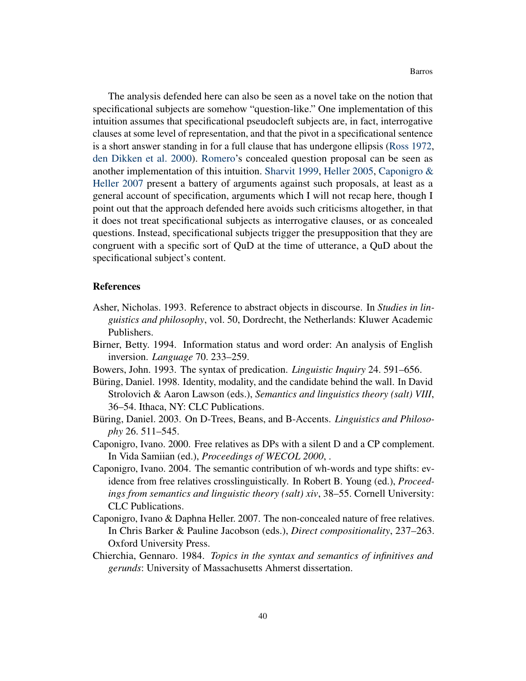The analysis defended here can also be seen as a novel take on the notion that specificational subjects are somehow "question-like." One implementation of this intuition assumes that specificational pseudocleft subjects are, in fact, interrogative clauses at some level of representation, and that the pivot in a specificational sentence is a short answer standing in for a full clause that has undergone ellipsis [\(Ross](#page-42-8) [1972,](#page-42-8) [den Dikken et al.](#page-40-8) [2000\)](#page-40-8). [Romero'](#page-41-9)s concealed question proposal can be seen as another implementation of this intuition. [Sharvit](#page-42-4) [1999,](#page-42-4) [Heller](#page-40-3) [2005,](#page-40-3) [Caponigro &](#page-39-5) [Heller](#page-39-5) [2007](#page-39-5) present a battery of arguments against such proposals, at least as a general account of specification, arguments which I will not recap here, though I point out that the approach defended here avoids such criticisms altogether, in that it does not treat specificational subjects as interrogative clauses, or as concealed questions. Instead, specificational subjects trigger the presupposition that they are congruent with a specific sort of QuD at the time of utterance, a QuD about the specificational subject's content.

#### References

- <span id="page-39-0"></span>Asher, Nicholas. 1993. Reference to abstract objects in discourse. In *Studies in linguistics and philosophy*, vol. 50, Dordrecht, the Netherlands: Kluwer Academic Publishers.
- <span id="page-39-3"></span>Birner, Betty. 1994. Information status and word order: An analysis of English inversion. *Language* 70. 233–259.
- <span id="page-39-2"></span>Bowers, John. 1993. The syntax of predication. *Linguistic Inquiry* 24. 591–656.
- <span id="page-39-1"></span>Büring, Daniel. 1998. Identity, modality, and the candidate behind the wall. In David Strolovich & Aaron Lawson (eds.), *Semantics and linguistics theory (salt) VIII*, 36–54. Ithaca, NY: CLC Publications.
- <span id="page-39-6"></span>Büring, Daniel. 2003. On D-Trees, Beans, and B-Accents. *Linguistics and Philosophy* 26. 511–545.
- <span id="page-39-8"></span>Caponigro, Ivano. 2000. Free relatives as DPs with a silent D and a CP complement. In Vida Samiian (ed.), *Proceedings of WECOL 2000*, .
- <span id="page-39-7"></span>Caponigro, Ivano. 2004. The semantic contribution of wh-words and type shifts: evidence from free relatives crosslinguistically. In Robert B. Young (ed.), *Proceedings from semantics and linguistic theory (salt) xiv*, 38–55. Cornell University: CLC Publications.
- <span id="page-39-5"></span>Caponigro, Ivano & Daphna Heller. 2007. The non-concealed nature of free relatives. In Chris Barker & Pauline Jacobson (eds.), *Direct compositionality*, 237–263. Oxford University Press.
- <span id="page-39-4"></span>Chierchia, Gennaro. 1984. *Topics in the syntax and semantics of infinitives and gerunds*: University of Massachusetts Ahmerst dissertation.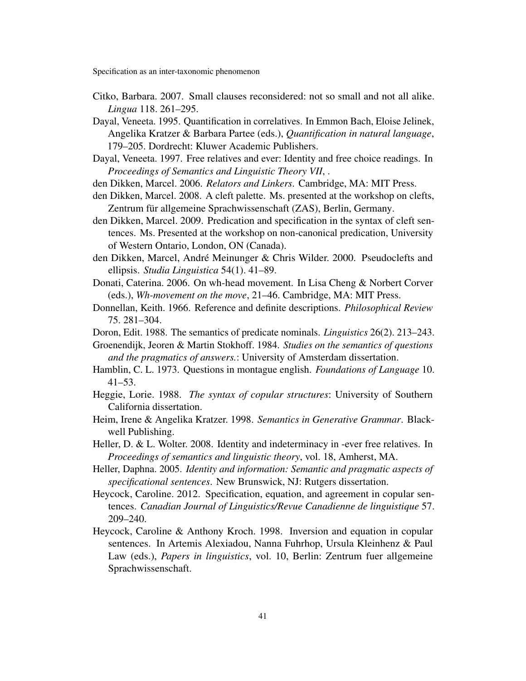- <span id="page-40-7"></span>Citko, Barbara. 2007. Small clauses reconsidered: not so small and not all alike. *Lingua* 118. 261–295.
- <span id="page-40-11"></span>Dayal, Veneeta. 1995. Quantification in correlatives. In Emmon Bach, Eloise Jelinek, Angelika Kratzer & Barbara Partee (eds.), *Quantification in natural language*, 179–205. Dordrecht: Kluwer Academic Publishers.
- <span id="page-40-12"></span>Dayal, Veneeta. 1997. Free relatives and ever: Identity and free choice readings. In *Proceedings of Semantics and Linguistic Theory VII*, .
- <span id="page-40-6"></span>den Dikken, Marcel. 2006. *Relators and Linkers*. Cambridge, MA: MIT Press.
- <span id="page-40-9"></span>den Dikken, Marcel. 2008. A cleft palette. Ms. presented at the workshop on clefts, Zentrum für allgemeine Sprachwissenschaft (ZAS), Berlin, Germany.
- <span id="page-40-10"></span>den Dikken, Marcel. 2009. Predication and specification in the syntax of cleft sentences. Ms. Presented at the workshop on non-canonical predication, University of Western Ontario, London, ON (Canada).
- <span id="page-40-8"></span>den Dikken, Marcel, André Meinunger & Chris Wilder. 2000. Pseudoclefts and ellipsis. *Studia Linguistica* 54(1). 41–89.
- <span id="page-40-16"></span>Donati, Caterina. 2006. On wh-head movement. In Lisa Cheng & Norbert Corver (eds.), *Wh-movement on the move*, 21–46. Cambridge, MA: MIT Press.
- <span id="page-40-14"></span>Donnellan, Keith. 1966. Reference and definite descriptions. *Philosophical Review* 75. 281–304.
- <span id="page-40-5"></span>Doron, Edit. 1988. The semantics of predicate nominals. *Linguistics* 26(2). 213–243.
- <span id="page-40-17"></span>Groenendijk, Jeoren & Martin Stokhoff. 1984. *Studies on the semantics of questions and the pragmatics of answers.*: University of Amsterdam dissertation.
- <span id="page-40-15"></span>Hamblin, C. L. 1973. Questions in montague english. *Foundations of Language* 10. 41–53.
- <span id="page-40-2"></span>Heggie, Lorie. 1988. *The syntax of copular structures*: University of Southern California dissertation.
- <span id="page-40-13"></span>Heim, Irene & Angelika Kratzer. 1998. *Semantics in Generative Grammar*. Blackwell Publishing.
- <span id="page-40-4"></span>Heller, D. & L. Wolter. 2008. Identity and indeterminacy in -ever free relatives. In *Proceedings of semantics and linguistic theory*, vol. 18, Amherst, MA.
- <span id="page-40-3"></span>Heller, Daphna. 2005. *Identity and information: Semantic and pragmatic aspects of specificational sentences*. New Brunswick, NJ: Rutgers dissertation.
- <span id="page-40-1"></span>Heycock, Caroline. 2012. Specification, equation, and agreement in copular sentences. *Canadian Journal of Linguistics/Revue Canadienne de linguistique* 57. 209–240.
- <span id="page-40-0"></span>Heycock, Caroline & Anthony Kroch. 1998. Inversion and equation in copular sentences. In Artemis Alexiadou, Nanna Fuhrhop, Ursula Kleinhenz & Paul Law (eds.), *Papers in linguistics*, vol. 10, Berlin: Zentrum fuer allgemeine Sprachwissenschaft.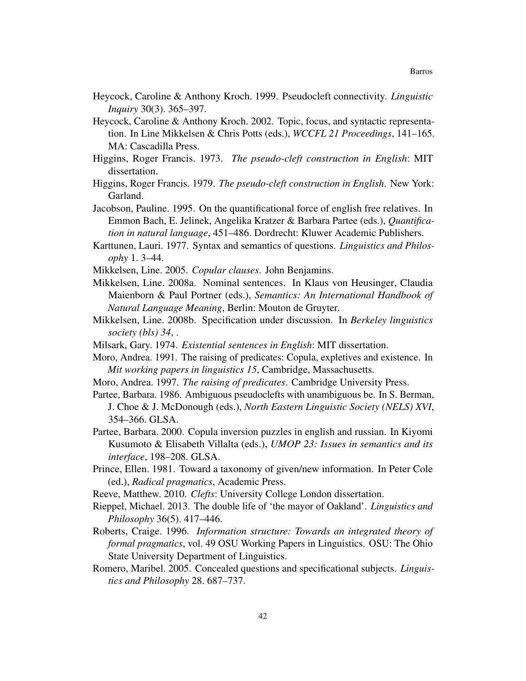- <span id="page-41-2"></span>Heycock, Caroline & Anthony Kroch. 1999. Pseudocleft connectivity. *Linguistic Inquiry* 30(3). 365–397.
- <span id="page-41-3"></span>Heycock, Caroline & Anthony Kroch. 2002. Topic, focus, and syntactic representation. In Line Mikkelsen & Chris Potts (eds.), *WCCFL 21 Proceedings*, 141–165. MA: Cascadilla Press.
- <span id="page-41-10"></span>Higgins, Roger Francis. 1973. *The pseudo-cleft construction in English*: MIT dissertation.
- <span id="page-41-0"></span>Higgins, Roger Francis. 1979. *The pseudo-cleft construction in English*. New York: Garland.
- <span id="page-41-15"></span>Jacobson, Pauline. 1995. On the quantificational force of english free relatives. In Emmon Bach, E. Jelinek, Angelika Kratzer & Barbara Partee (eds.), *Quantification in natural language*, 451–486. Dordrecht: Kluwer Academic Publishers.
- <span id="page-41-17"></span>Karttunen, Lauri. 1977. Syntax and semantics of questions. *Linguistics and Philosophy* 1. 3–44.
- <span id="page-41-1"></span>Mikkelsen, Line. 2005. *Copular clauses*. John Benjamins.
- <span id="page-41-4"></span>Mikkelsen, Line. 2008a. Nominal sentences. In Klaus von Heusinger, Claudia Maienborn & Paul Portner (eds.), *Semantics: An International Handbook of Natural Language Meaning*, Berlin: Mouton de Gruyter.
- <span id="page-41-18"></span>Mikkelsen, Line. 2008b. Specification under discussion. In *Berkeley linguistics society (bls) 34*, .
- <span id="page-41-12"></span>Milsark, Gary. 1974. *Existential sentences in English*: MIT dissertation.
- <span id="page-41-14"></span>Moro, Andrea. 1991. The raising of predicates: Copula, expletives and existence. In *Mit working papers in linguistics 15*, Cambridge, Massachusetts.
- <span id="page-41-6"></span>Moro, Andrea. 1997. *The raising of predicates*. Cambridge University Press.
- <span id="page-41-5"></span>Partee, Barbara. 1986. Ambiguous pseudoclefts with unambiguous be. In S. Berman, J. Choe & J. McDonough (eds.), *North Eastern Linguistic Society (NELS) XVI*, 354–366. GLSA.
- <span id="page-41-8"></span>Partee, Barbara. 2000. Copula inversion puzzles in english and russian. In Kiyomi Kusumoto & Elisabeth Villalta (eds.), *UMOP 23: Issues in semantics and its interface*, 198–208. GLSA.
- <span id="page-41-11"></span>Prince, Ellen. 1981. Toward a taxonomy of given/new information. In Peter Cole (ed.), *Radical pragmatics*, Academic Press.
- <span id="page-41-7"></span>Reeve, Matthew. 2010. *Clefts*: University College London dissertation.
- <span id="page-41-16"></span>Rieppel, Michael. 2013. The double life of 'the mayor of Oakland'. *Linguistics and Philosophy* 36(5). 417–446.
- <span id="page-41-13"></span>Roberts, Craige. 1996. *Information structure: Towards an integrated theory of formal pragmatics*, vol. 49 OSU Working Papers in Linguistics. OSU: The Ohio State University Department of Linguistics.
- <span id="page-41-9"></span>Romero, Maribel. 2005. Concealed questions and specificational subjects. *Linguistics and Philosophy* 28. 687–737.